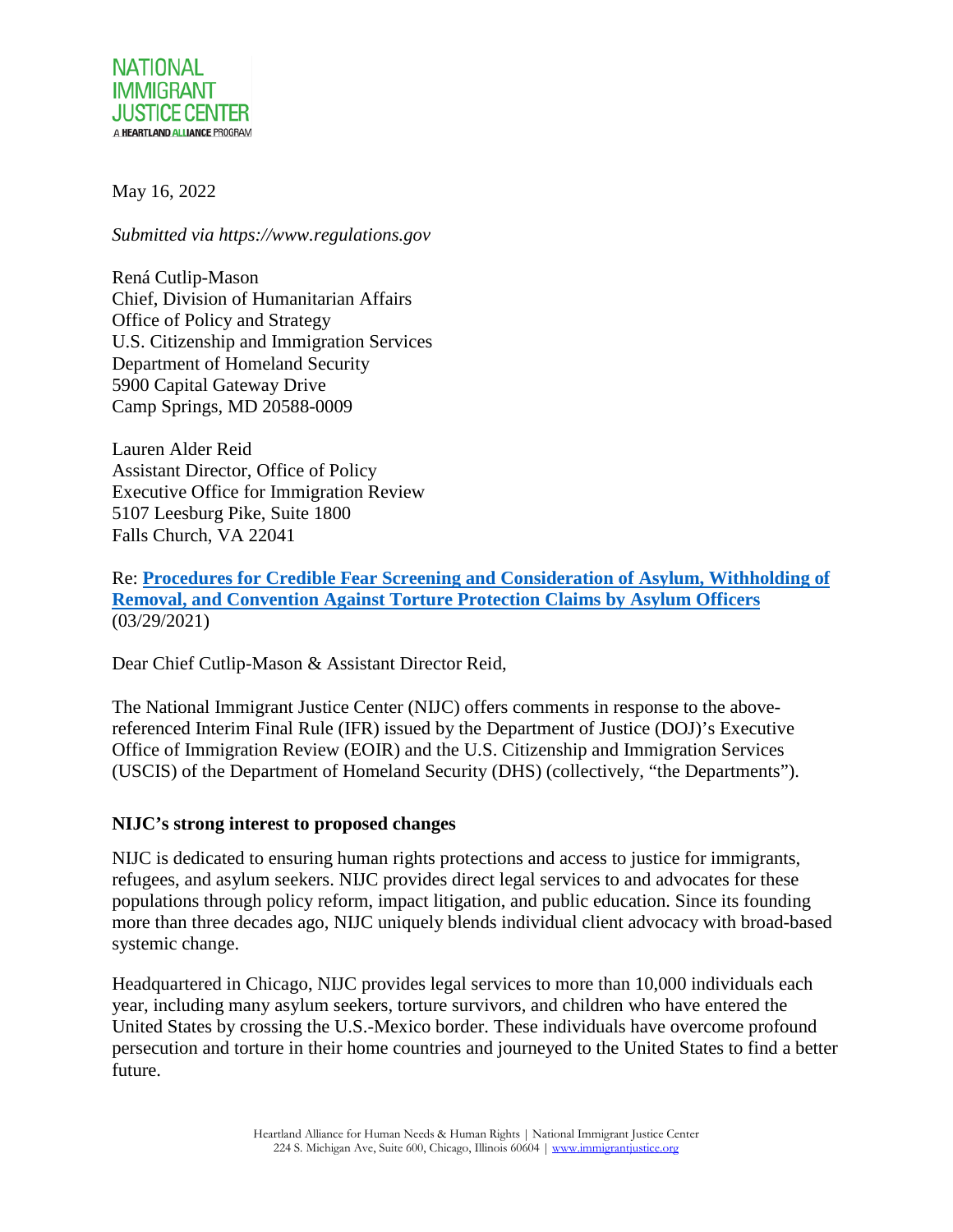

May 16, 2022

*Submitted via https://www.regulations.gov*

Rená Cutlip-Mason Chief, Division of Humanitarian Affairs Office of Policy and Strategy U.S. Citizenship and Immigration Services Department of Homeland Security 5900 Capital Gateway Drive Camp Springs, MD 20588-0009

Lauren Alder Reid Assistant Director, Office of Policy Executive Office for Immigration Review 5107 Leesburg Pike, Suite 1800 Falls Church, VA 22041

Re: **[Procedures for Credible Fear Screening and Consideration of Asylum, Withholding of](https://www.federalregister.gov/public-inspection/2022-06148/procedures-for-credible-fear-screening-and-consideration-of-asylum-withholding-of-removal-and)  [Removal, and Convention Against Torture Protection Claims by Asylum Officers](https://www.federalregister.gov/public-inspection/2022-06148/procedures-for-credible-fear-screening-and-consideration-of-asylum-withholding-of-removal-and)** (03/29/2021)

Dear Chief Cutlip-Mason & Assistant Director Reid,

The National Immigrant Justice Center (NIJC) offers comments in response to the abovereferenced Interim Final Rule (IFR) issued by the Department of Justice (DOJ)'s Executive Office of Immigration Review (EOIR) and the U.S. Citizenship and Immigration Services (USCIS) of the Department of Homeland Security (DHS) (collectively, "the Departments").

#### **NIJC's strong interest to proposed changes**

NIJC is dedicated to ensuring human rights protections and access to justice for immigrants, refugees, and asylum seekers. NIJC provides direct legal services to and advocates for these populations through policy reform, impact litigation, and public education. Since its founding more than three decades ago, NIJC uniquely blends individual client advocacy with broad-based systemic change.

Headquartered in Chicago, NIJC provides legal services to more than 10,000 individuals each year, including many asylum seekers, torture survivors, and children who have entered the United States by crossing the U.S.-Mexico border. These individuals have overcome profound persecution and torture in their home countries and journeyed to the United States to find a better future.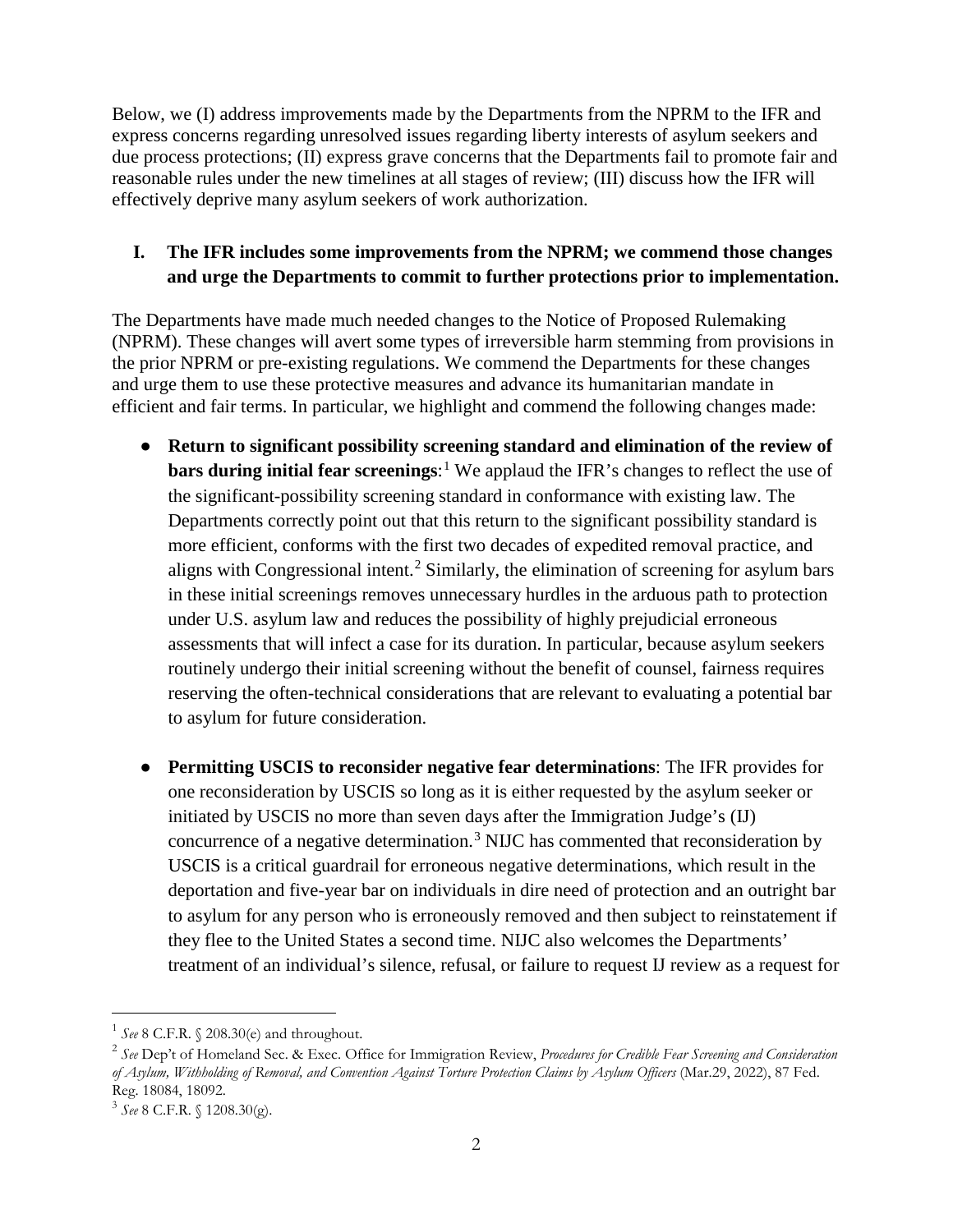Below, we (I) address improvements made by the Departments from the NPRM to the IFR and express concerns regarding unresolved issues regarding liberty interests of asylum seekers and due process protections; (II) express grave concerns that the Departments fail to promote fair and reasonable rules under the new timelines at all stages of review; (III) discuss how the IFR will effectively deprive many asylum seekers of work authorization.

### **I. The IFR includes some improvements from the NPRM; we commend those changes and urge the Departments to commit to further protections prior to implementation.**

The Departments have made much needed changes to the Notice of Proposed Rulemaking (NPRM). These changes will avert some types of irreversible harm stemming from provisions in the prior NPRM or pre-existing regulations. We commend the Departments for these changes and urge them to use these protective measures and advance its humanitarian mandate in efficient and fair terms. In particular, we highlight and commend the following changes made:

- **Return to significant possibility screening standard and elimination of the review of bars during initial fear screenings**: [1](#page-1-0) We applaud the IFR's changes to reflect the use of the significant-possibility screening standard in conformance with existing law. The Departments correctly point out that this return to the significant possibility standard is more efficient, conforms with the first two decades of expedited removal practice, and aligns with Congressional intent.<sup>[2](#page-1-1)</sup> Similarly, the elimination of screening for asylum bars in these initial screenings removes unnecessary hurdles in the arduous path to protection under U.S. asylum law and reduces the possibility of highly prejudicial erroneous assessments that will infect a case for its duration. In particular, because asylum seekers routinely undergo their initial screening without the benefit of counsel, fairness requires reserving the often-technical considerations that are relevant to evaluating a potential bar to asylum for future consideration.
- **Permitting USCIS to reconsider negative fear determinations:** The IFR provides for one reconsideration by USCIS so long as it is either requested by the asylum seeker or initiated by USCIS no more than seven days after the Immigration Judge's (IJ) concurrence of a negative determination.<sup>[3](#page-1-2)</sup> NIJC has commented that reconsideration by USCIS is a critical guardrail for erroneous negative determinations, which result in the deportation and five-year bar on individuals in dire need of protection and an outright bar to asylum for any person who is erroneously removed and then subject to reinstatement if they flee to the United States a second time. NIJC also welcomes the Departments' treatment of an individual's silence, refusal, or failure to request IJ review as a request for

<span id="page-1-0"></span> <sup>1</sup> *See* 8 C.F.R. § 208.30(e) and throughout.

<span id="page-1-1"></span><sup>2</sup> *See* Dep't of Homeland Sec. & Exec. Office for Immigration Review, *Procedures for Credible Fear Screening and Consideration of Asylum, Withholding of Removal, and Convention Against Torture Protection Claims by Asylum Officers* (Mar.29, 2022), 87 Fed. Reg. 18084, 18092.

<span id="page-1-2"></span><sup>3</sup> *See* 8 C.F.R. § 1208.30(g).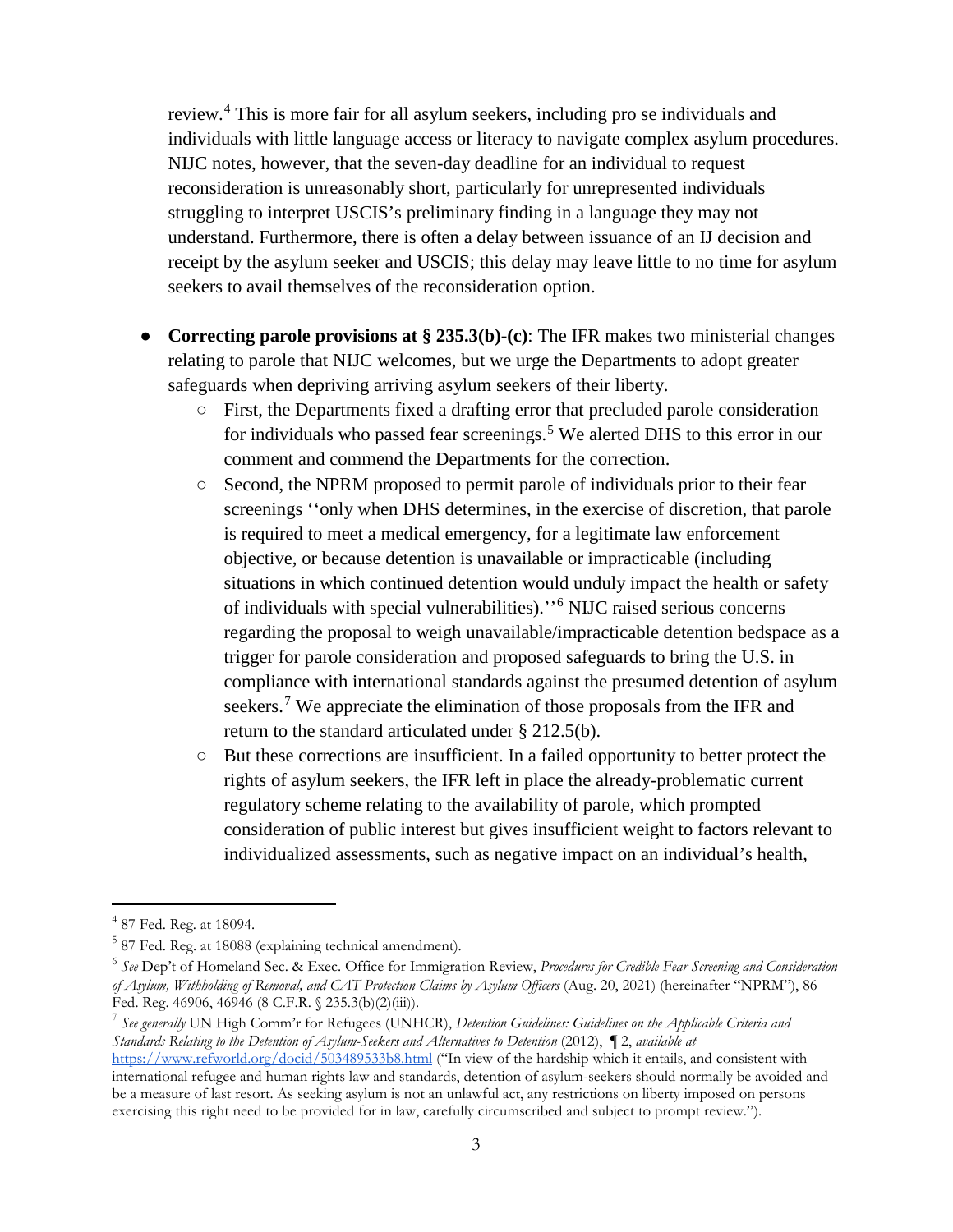review.[4](#page-2-0) This is more fair for all asylum seekers, including pro se individuals and individuals with little language access or literacy to navigate complex asylum procedures. NIJC notes, however, that the seven-day deadline for an individual to request reconsideration is unreasonably short, particularly for unrepresented individuals struggling to interpret USCIS's preliminary finding in a language they may not understand. Furthermore, there is often a delay between issuance of an IJ decision and receipt by the asylum seeker and USCIS; this delay may leave little to no time for asylum seekers to avail themselves of the reconsideration option.

- **Correcting parole provisions at § 235.3(b)-(c)**: The IFR makes two ministerial changes relating to parole that NIJC welcomes, but we urge the Departments to adopt greater safeguards when depriving arriving asylum seekers of their liberty.
	- First, the Departments fixed a drafting error that precluded parole consideration for individuals who passed fear screenings.<sup>[5](#page-2-1)</sup> We alerted DHS to this error in our comment and commend the Departments for the correction.
	- Second, the NPRM proposed to permit parole of individuals prior to their fear screenings ''only when DHS determines, in the exercise of discretion, that parole is required to meet a medical emergency, for a legitimate law enforcement objective, or because detention is unavailable or impracticable (including situations in which continued detention would unduly impact the health or safety of individuals with special vulnerabilities).''[6](#page-2-2) NIJC raised serious concerns regarding the proposal to weigh unavailable/impracticable detention bedspace as a trigger for parole consideration and proposed safeguards to bring the U.S. in compliance with international standards against the presumed detention of asylum seekers.<sup>[7](#page-2-3)</sup> We appreciate the elimination of those proposals from the IFR and return to the standard articulated under § 212.5(b).
	- But these corrections are insufficient. In a failed opportunity to better protect the rights of asylum seekers, the IFR left in place the already-problematic current regulatory scheme relating to the availability of parole, which prompted consideration of public interest but gives insufficient weight to factors relevant to individualized assessments, such as negative impact on an individual's health,

<span id="page-2-0"></span> <sup>4</sup> 87 Fed. Reg. at 18094.

<span id="page-2-1"></span><sup>5</sup> 87 Fed. Reg. at 18088 (explaining technical amendment).

<span id="page-2-2"></span><sup>6</sup> *See* Dep't of Homeland Sec. & Exec. Office for Immigration Review, *Procedures for Credible Fear Screening and Consideration of Asylum, Withholding of Removal, and CAT Protection Claims by Asylum Officers* (Aug. 20, 2021) (hereinafter "NPRM"), 86 Fed. Reg. 46906, 46946 (8 C.F.R. § 235.3(b)(2)(iii)).<br><sup>7</sup> See generally UN High Comm'r for Refugees (UNHCR), *Detention Guidelines: Guidelines on the Applicable Criteria and* 

<span id="page-2-3"></span>*Standards Relating to the Detention of Asylum-Seekers and Alternatives to Detention* (2012), ¶ 2, *available at*

<https://www.refworld.org/docid/503489533b8.html> ("In view of the hardship which it entails, and consistent with international refugee and human rights law and standards, detention of asylum-seekers should normally be avoided and be a measure of last resort. As seeking asylum is not an unlawful act, any restrictions on liberty imposed on persons exercising this right need to be provided for in law, carefully circumscribed and subject to prompt review.").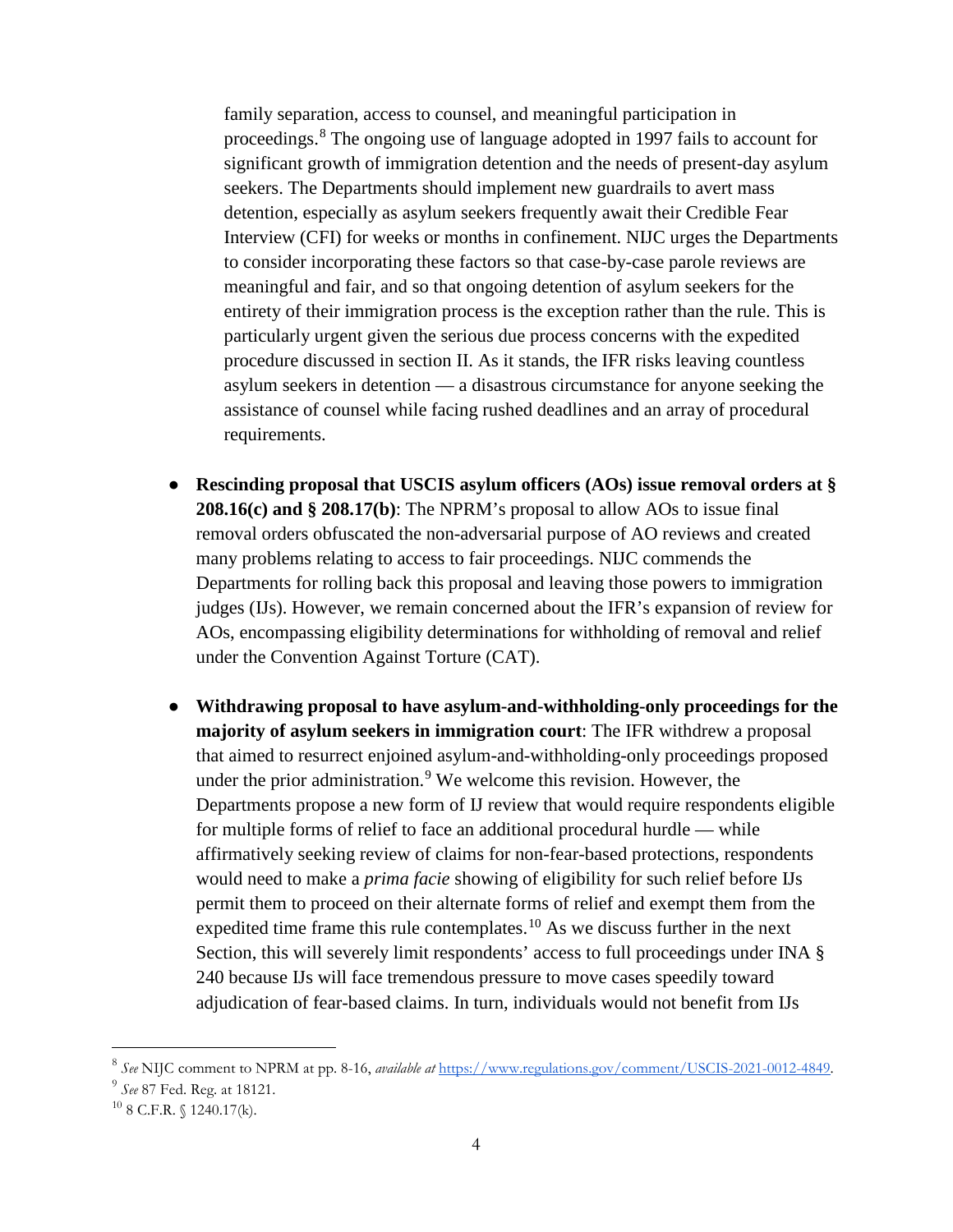family separation, access to counsel, and meaningful participation in proceedings.[8](#page-3-0) The ongoing use of language adopted in 1997 fails to account for significant growth of immigration detention and the needs of present-day asylum seekers. The Departments should implement new guardrails to avert mass detention, especially as asylum seekers frequently await their Credible Fear Interview (CFI) for weeks or months in confinement. NIJC urges the Departments to consider incorporating these factors so that case-by-case parole reviews are meaningful and fair, and so that ongoing detention of asylum seekers for the entirety of their immigration process is the exception rather than the rule. This is particularly urgent given the serious due process concerns with the expedited procedure discussed in section II. As it stands, the IFR risks leaving countless asylum seekers in detention — a disastrous circumstance for anyone seeking the assistance of counsel while facing rushed deadlines and an array of procedural requirements.

- **Rescinding proposal that USCIS asylum officers (AOs) issue removal orders at § 208.16(c) and § 208.17(b)**: The NPRM's proposal to allow AOs to issue final removal orders obfuscated the non-adversarial purpose of AO reviews and created many problems relating to access to fair proceedings. NIJC commends the Departments for rolling back this proposal and leaving those powers to immigration judges (IJs). However, we remain concerned about the IFR's expansion of review for AOs, encompassing eligibility determinations for withholding of removal and relief under the Convention Against Torture (CAT).
- **Withdrawing proposal to have asylum-and-withholding-only proceedings for the majority of asylum seekers in immigration court**: The IFR withdrew a proposal that aimed to resurrect enjoined asylum-and-withholding-only proceedings proposed under the prior administration. $9$  We welcome this revision. However, the Departments propose a new form of IJ review that would require respondents eligible for multiple forms of relief to face an additional procedural hurdle — while affirmatively seeking review of claims for non-fear-based protections, respondents would need to make a *prima facie* showing of eligibility for such relief before IJs permit them to proceed on their alternate forms of relief and exempt them from the expedited time frame this rule contemplates.<sup>[10](#page-3-2)</sup> As we discuss further in the next Section, this will severely limit respondents' access to full proceedings under INA § 240 because IJs will face tremendous pressure to move cases speedily toward adjudication of fear-based claims. In turn, individuals would not benefit from IJs

<span id="page-3-1"></span><span id="page-3-0"></span><sup>8</sup> *See* NIJC comment to NPRM at pp. 8-16, *available at* [https://www.regulations.gov/comment/USCIS-2021-0012-4849.](https://www.regulations.gov/comment/USCIS-2021-0012-4849) 9 *See* 87 Fed. Reg. at 18121.

<span id="page-3-2"></span> $10$  8 C.F.R. § 1240.17(k).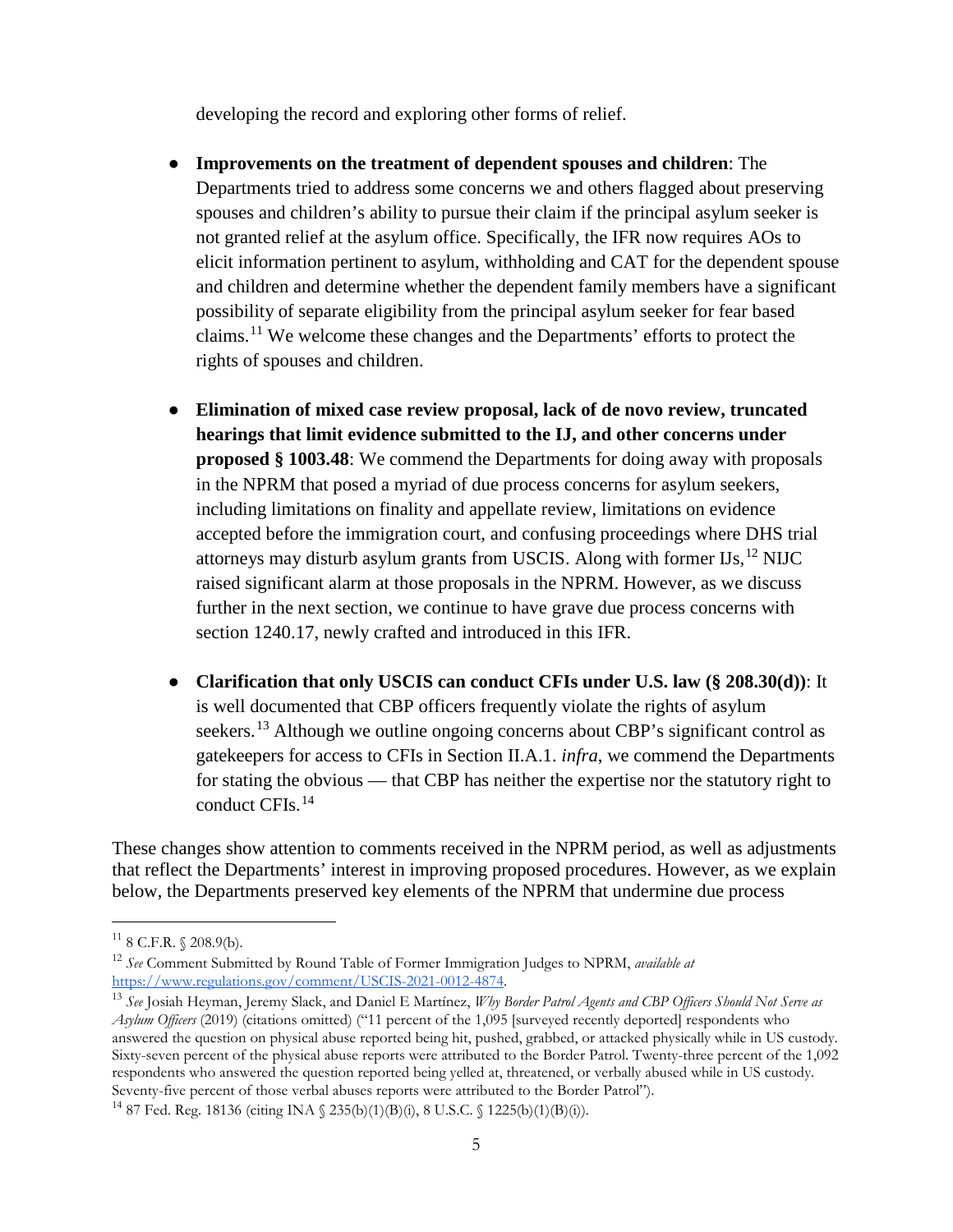developing the record and exploring other forms of relief.

- **Improvements on the treatment of dependent spouses and children:** The Departments tried to address some concerns we and others flagged about preserving spouses and children's ability to pursue their claim if the principal asylum seeker is not granted relief at the asylum office. Specifically, the IFR now requires AOs to elicit information pertinent to asylum, withholding and CAT for the dependent spouse and children and determine whether the dependent family members have a significant possibility of separate eligibility from the principal asylum seeker for fear based claims.[11](#page-4-0) We welcome these changes and the Departments' efforts to protect the rights of spouses and children.
- **Elimination of mixed case review proposal, lack of de novo review, truncated hearings that limit evidence submitted to the IJ, and other concerns under proposed § 1003.48**: We commend the Departments for doing away with proposals in the NPRM that posed a myriad of due process concerns for asylum seekers, including limitations on finality and appellate review, limitations on evidence accepted before the immigration court, and confusing proceedings where DHS trial attorneys may disturb asylum grants from USCIS. Along with former  $\text{Us},^{12} \text{ NUC}$  $\text{Us},^{12} \text{ NUC}$  $\text{Us},^{12} \text{ NUC}$ raised significant alarm at those proposals in the NPRM. However, as we discuss further in the next section, we continue to have grave due process concerns with section 1240.17, newly crafted and introduced in this IFR.
- **Clarification that only USCIS can conduct CFIs under U.S. law (§ 208.30(d))**: It is well documented that CBP officers frequently violate the rights of asylum seekers.<sup>[13](#page-4-2)</sup> Although we outline ongoing concerns about CBP's significant control as gatekeepers for access to CFIs in Section II.A.1. *infra*, we commend the Departments for stating the obvious — that CBP has neither the expertise nor the statutory right to conduct CFIs.[14](#page-4-3)

These changes show attention to comments received in the NPRM period, as well as adjustments that reflect the Departments' interest in improving proposed procedures. However, as we explain below, the Departments preserved key elements of the NPRM that undermine due process

<span id="page-4-0"></span> $11$  8 C.F.R. § 208.9(b).

<span id="page-4-1"></span><sup>12</sup> *See* Comment Submitted by Round Table of Former Immigration Judges to NPRM, *available at* 

<span id="page-4-2"></span><sup>&</sup>lt;sup>13</sup> See Josiah Heyman, Jeremy Slack, and Daniel E Martínez, *Why Border Patrol Agents and CBP Officers Should Not Serve as Asylum Officers* (2019) (citations omitted) ("11 percent of the 1,095 [surveyed recently deported] respondents who answered the question on physical abuse reported being hit, pushed, grabbed, or attacked physically while in US custody. Sixty-seven percent of the physical abuse reports were attributed to the Border Patrol. Twenty-three percent of the 1,092 respondents who answered the question reported being yelled at, threatened, or verbally abused while in US custody. Seventy-five percent of those verbal abuses reports were attributed to the Border Patrol").

<span id="page-4-3"></span><sup>&</sup>lt;sup>14</sup> 87 Fed. Reg. 18136 (citing INA  $\{$  235(b)(1)(B)(i), 8 U.S.C.  $\{$  1225(b)(1)(B)(i)).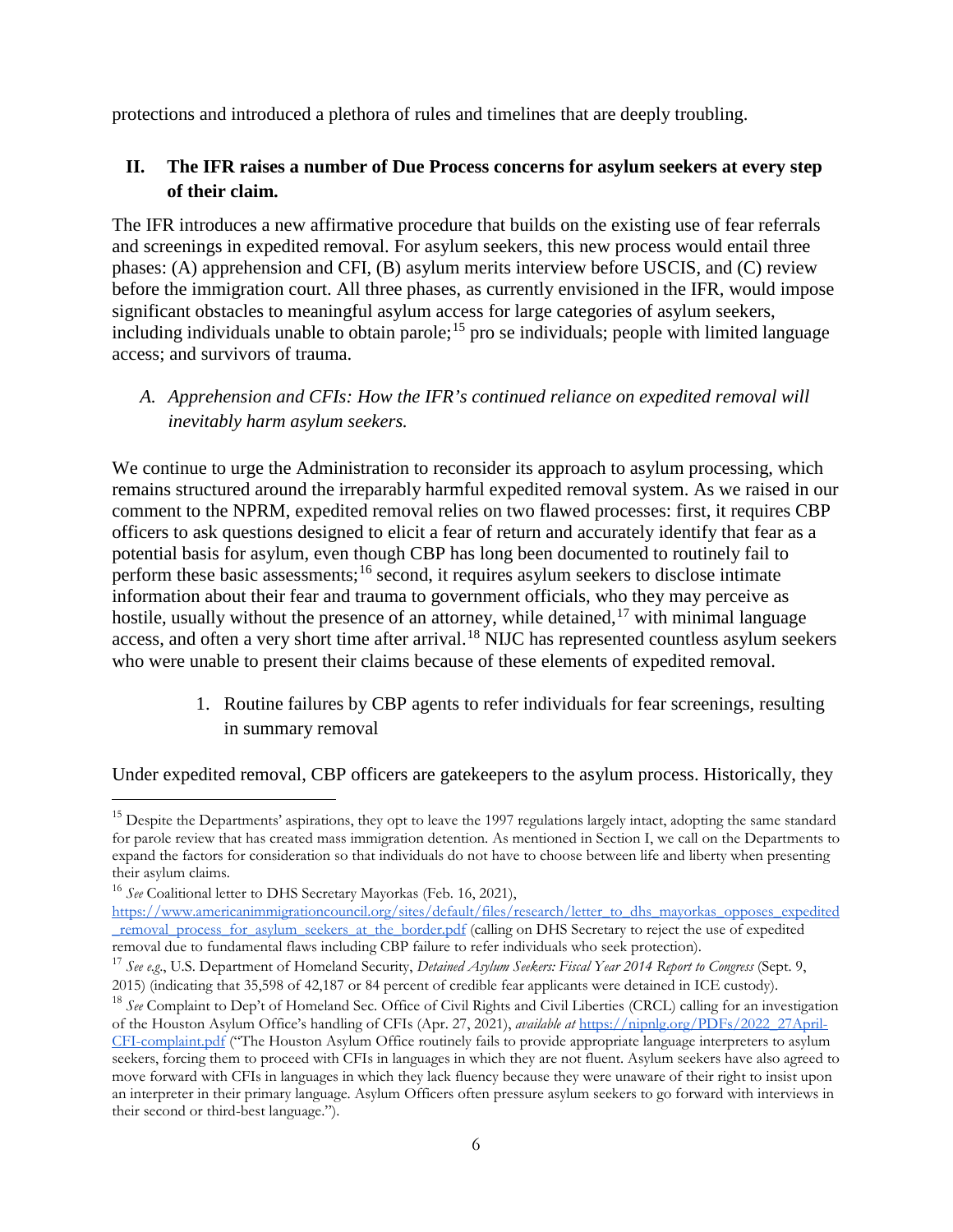protections and introduced a plethora of rules and timelines that are deeply troubling.

## **II. The IFR raises a number of Due Process concerns for asylum seekers at every step of their claim.**

The IFR introduces a new affirmative procedure that builds on the existing use of fear referrals and screenings in expedited removal. For asylum seekers, this new process would entail three phases: (A) apprehension and CFI, (B) asylum merits interview before USCIS, and (C) review before the immigration court. All three phases, as currently envisioned in the IFR, would impose significant obstacles to meaningful asylum access for large categories of asylum seekers, including individuals unable to obtain parole;<sup>[15](#page-5-0)</sup> pro se individuals; people with limited language access; and survivors of trauma.

*A. Apprehension and CFIs: How the IFR's continued reliance on expedited removal will inevitably harm asylum seekers.*

We continue to urge the Administration to reconsider its approach to asylum processing, which remains structured around the irreparably harmful expedited removal system. As we raised in our comment to the NPRM, expedited removal relies on two flawed processes: first, it requires CBP officers to ask questions designed to elicit a fear of return and accurately identify that fear as a potential basis for asylum, even though CBP has long been documented to routinely fail to perform these basic assessments;<sup>[16](#page-5-1)</sup> second, it requires asylum seekers to disclose intimate information about their fear and trauma to government officials, who they may perceive as hostile, usually without the presence of an attorney, while detained, <sup>[17](#page-5-2)</sup> with minimal language access, and often a very short time after arrival.<sup>[18](#page-5-3)</sup> NIJC has represented countless asylum seekers who were unable to present their claims because of these elements of expedited removal.

> 1. Routine failures by CBP agents to refer individuals for fear screenings, resulting in summary removal

Under expedited removal, CBP officers are gatekeepers to the asylum process. Historically, they

<span id="page-5-0"></span><sup>&</sup>lt;sup>15</sup> Despite the Departments' aspirations, they opt to leave the 1997 regulations largely intact, adopting the same standard for parole review that has created mass immigration detention. As mentioned in Section I, we call on the Departments to expand the factors for consideration so that individuals do not have to choose between life and liberty when presenting

their asylum claims. 16 *See* Coalitional letter to DHS Secretary Mayorkas (Feb. 16, 2021),

<span id="page-5-1"></span>[https://www.americanimmigrationcouncil.org/sites/default/files/research/letter\\_to\\_dhs\\_mayorkas\\_opposes\\_expedited](https://www.americanimmigrationcouncil.org/sites/default/files/research/letter_to_dhs_mayorkas_opposes_expedited_removal_process_for_asylum_seekers_at_the_border.pdf) Tremoval process for asylum seekers at the border.pdf (calling on DHS Secretary to reject the use of expedited removal due to fundamental flaws including CBP failure to refer individuals who seek protection).

<span id="page-5-2"></span><sup>17</sup> *See e.g*., U.S. Department of Homeland Security, *Detained Asylum Seekers: Fiscal Year 2014 Report to Congress* (Sept. 9, 2015) (indicating that 35,598 of 42,187 or 84 percent of credible fear applicants were detained in ICE custody).

<span id="page-5-3"></span><sup>18</sup> *See* Complaint to Dep't of Homeland Sec. Office of Civil Rights and Civil Liberties (CRCL) calling for an investigation of the Houston Asylum Office's handling of CFIs (Apr. 27, 2021), *available at* [https://nipnlg.org/PDFs/2022\\_27April-](https://nipnlg.org/PDFs/2022_27April-CFI-complaint.pdf)[CFI-complaint.pdf](https://nipnlg.org/PDFs/2022_27April-CFI-complaint.pdf) ("The Houston Asylum Office routinely fails to provide appropriate language interpreters to asylum seekers, forcing them to proceed with CFIs in languages in which they are not fluent. Asylum seekers have also agreed to move forward with CFIs in languages in which they lack fluency because they were unaware of their right to insist upon an interpreter in their primary language. Asylum Officers often pressure asylum seekers to go forward with interviews in their second or third-best language.").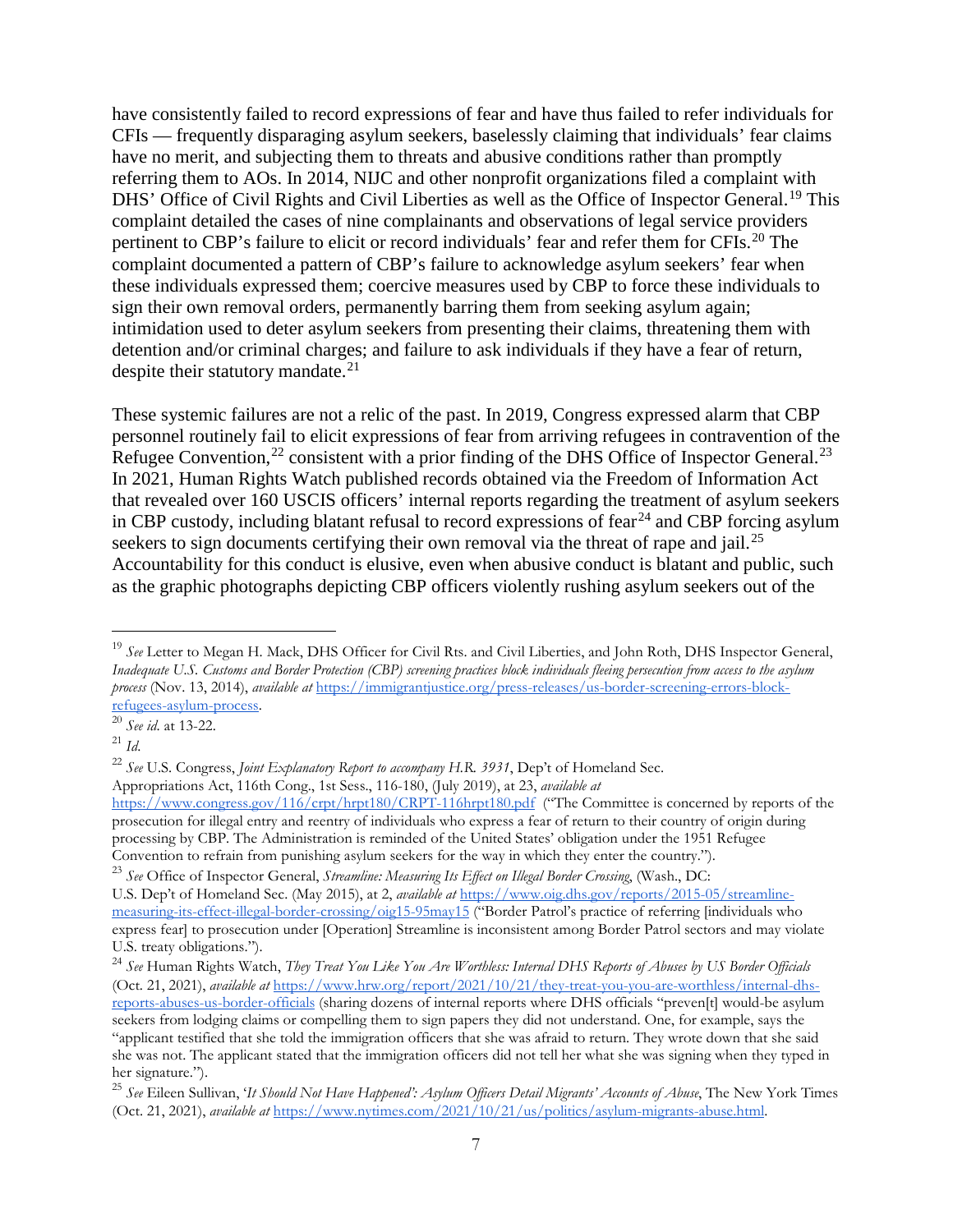have consistently failed to record expressions of fear and have thus failed to refer individuals for CFIs — frequently disparaging asylum seekers, baselessly claiming that individuals' fear claims have no merit, and subjecting them to threats and abusive conditions rather than promptly referring them to AOs. In 2014, NIJC and other nonprofit organizations filed a complaint with DHS' Office of Civil Rights and Civil Liberties as well as the Office of Inspector General.<sup>[19](#page-6-0)</sup> This complaint detailed the cases of nine complainants and observations of legal service providers pertinent to CBP's failure to elicit or record individuals' fear and refer them for CFIs.<sup>[20](#page-6-1)</sup> The complaint documented a pattern of CBP's failure to acknowledge asylum seekers' fear when these individuals expressed them; coercive measures used by CBP to force these individuals to sign their own removal orders, permanently barring them from seeking asylum again; intimidation used to deter asylum seekers from presenting their claims, threatening them with detention and/or criminal charges; and failure to ask individuals if they have a fear of return, despite their statutory mandate. $21$ 

These systemic failures are not a relic of the past. In 2019, Congress expressed alarm that CBP personnel routinely fail to elicit expressions of fear from arriving refugees in contravention of the Refugee Convention,  $^{22}$  $^{22}$  $^{22}$  consistent with a prior finding of the DHS Office of Inspector General.  $^{23}$  $^{23}$  $^{23}$ In 2021, Human Rights Watch published records obtained via the Freedom of Information Act that revealed over 160 USCIS officers' internal reports regarding the treatment of asylum seekers in CBP custody, including blatant refusal to record expressions of fear<sup>[24](#page-6-5)</sup> and CBP forcing asylum seekers to sign documents certifying their own removal via the threat of rape and jail.<sup>[25](#page-6-6)</sup> Accountability for this conduct is elusive, even when abusive conduct is blatant and public, such as the graphic photographs depicting CBP officers violently rushing asylum seekers out of the

Appropriations Act, 116th Cong., 1st Sess., 116-180, (July 2019), at 23, *available at*

<https://www.congress.gov/116/crpt/hrpt180/CRPT-116hrpt180.pdf>("The Committee is concerned by reports of the prosecution for illegal entry and reentry of individuals who express a fear of return to their country of origin during processing by CBP. The Administration is reminded of the United States' obligation under the 1951 Refugee Convention to refrain from punishing asylum seekers for the way in which they enter the country.").

<span id="page-6-4"></span><sup>23</sup> *See* Office of Inspector General, *Streamline: Measuring Its Effect on Illegal Border Crossing*, (Wash., DC: U.S. Dep't of Homeland Sec. (May 2015), at 2, *available at* [https://www.oig.dhs.gov/reports/2015-05/streamline](https://www.oig.dhs.gov/reports/2015-05/streamline-measuring-its-effect-illegal-border-crossing/oig15-95may15)[measuring-its-effect-illegal-border-crossing/oig15-95may15](https://www.oig.dhs.gov/reports/2015-05/streamline-measuring-its-effect-illegal-border-crossing/oig15-95may15) ("Border Patrol's practice of referring [individuals who express fear] to prosecution under [Operation] Streamline is inconsistent among Border Patrol sectors and may violate U.S. treaty obligations.").

<span id="page-6-0"></span> <sup>19</sup> *See* Letter to Megan H. Mack, DHS Officer for Civil Rts. and Civil Liberties, and John Roth, DHS Inspector General, *Inadequate U.S. Customs and Border Protection (CBP) screening practices block individuals fleeing persecution from access to the asylum process* (Nov. 13, 2014), *available at* [https://immigrantjustice.org/press-releases/us-border-screening-errors-block](https://immigrantjustice.org/press-releases/us-border-screening-errors-block-refugees-asylum-process)[refugees-asylum-process.](https://immigrantjustice.org/press-releases/us-border-screening-errors-block-refugees-asylum-process) 20 *See id*. at 13-22.

<span id="page-6-1"></span>

<span id="page-6-2"></span><sup>21</sup> *Id*.

<span id="page-6-3"></span><sup>22</sup> *See* U.S. Congress, *Joint Explanatory Report to accompany H.R. 3931*, Dep't of Homeland Sec.

<span id="page-6-5"></span><sup>24</sup> *See* Human Rights Watch, *They Treat You Like You Are Worthless: Internal DHS Reports of Abuses by US Border Officials*  (Oct. 21, 2021), *available at* [https://www.hrw.org/report/2021/10/21/they-treat-you-you-are-worthless/internal-dhs](https://www.hrw.org/report/2021/10/21/they-treat-you-you-are-worthless/internal-dhs-reports-abuses-us-border-officials)[reports-abuses-us-border-officials](https://www.hrw.org/report/2021/10/21/they-treat-you-you-are-worthless/internal-dhs-reports-abuses-us-border-officials) (sharing dozens of internal reports where DHS officials "preven[t] would-be asylum seekers from lodging claims or compelling them to sign papers they did not understand. One, for example, says the "applicant testified that she told the immigration officers that she was afraid to return. They wrote down that she said she was not. The applicant stated that the immigration officers did not tell her what she was signing when they typed in her signature.").

<span id="page-6-6"></span><sup>25</sup> *See* Eileen Sullivan, '*It Should Not Have Happened': Asylum Officers Detail Migrants' Accounts of Abuse*, The New York Times (Oct. 21, 2021), *available at* [https://www.nytimes.com/2021/10/21/us/politics/asylum-migrants-abuse.html.](https://www.nytimes.com/2021/10/21/us/politics/asylum-migrants-abuse.html)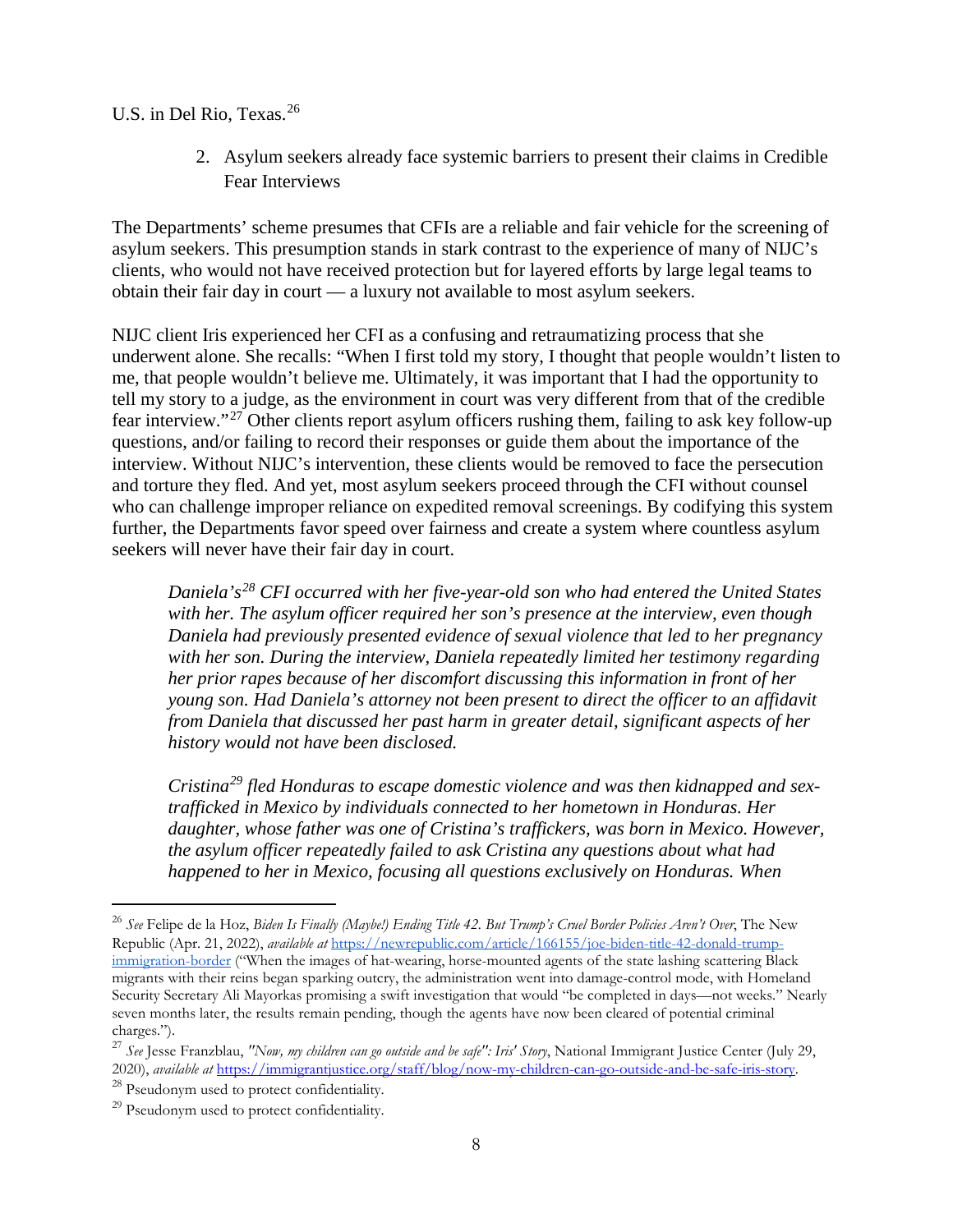U.S. in Del Rio, Texas.<sup>[26](#page-7-0)</sup>

2. Asylum seekers already face systemic barriers to present their claims in Credible Fear Interviews

The Departments' scheme presumes that CFIs are a reliable and fair vehicle for the screening of asylum seekers. This presumption stands in stark contrast to the experience of many of NIJC's clients, who would not have received protection but for layered efforts by large legal teams to obtain their fair day in court — a luxury not available to most asylum seekers.

NIJC client Iris experienced her CFI as a confusing and retraumatizing process that she underwent alone. She recalls: "When I first told my story, I thought that people wouldn't listen to me, that people wouldn't believe me. Ultimately, it was important that I had the opportunity to tell my story to a judge, as the environment in court was very different from that of the credible fear interview."[27](#page-7-1) Other clients report asylum officers rushing them, failing to ask key follow-up questions, and/or failing to record their responses or guide them about the importance of the interview. Without NIJC's intervention, these clients would be removed to face the persecution and torture they fled. And yet, most asylum seekers proceed through the CFI without counsel who can challenge improper reliance on expedited removal screenings. By codifying this system further, the Departments favor speed over fairness and create a system where countless asylum seekers will never have their fair day in court.

*Daniela's[28](#page-7-2) CFI occurred with her five-year-old son who had entered the United States with her. The asylum officer required her son's presence at the interview, even though Daniela had previously presented evidence of sexual violence that led to her pregnancy with her son. During the interview, Daniela repeatedly limited her testimony regarding her prior rapes because of her discomfort discussing this information in front of her young son. Had Daniela's attorney not been present to direct the officer to an affidavit from Daniela that discussed her past harm in greater detail, significant aspects of her history would not have been disclosed.*

*Cristina[29](#page-7-3) fled Honduras to escape domestic violence and was then kidnapped and sextrafficked in Mexico by individuals connected to her hometown in Honduras. Her daughter, whose father was one of Cristina's traffickers, was born in Mexico. However, the asylum officer repeatedly failed to ask Cristina any questions about what had happened to her in Mexico, focusing all questions exclusively on Honduras. When* 

<span id="page-7-0"></span> <sup>26</sup> *See* Felipe de la Hoz, *Biden Is Finally (Maybe!) Ending Title 42. But Trump's Cruel Border Policies Aren't Over*, The New Republic (Apr. 21, 2022), *available at* [https://newrepublic.com/article/166155/joe-biden-title-42-donald-trump](https://newrepublic.com/article/166155/joe-biden-title-42-donald-trump-immigration-border)[immigration-border](https://newrepublic.com/article/166155/joe-biden-title-42-donald-trump-immigration-border) ("When the images of hat-wearing, horse-mounted agents of the state lashing scattering Black migrants with their reins began sparking outcry, the administration went into damage-control mode, with Homeland Security Secretary Ali Mayorkas promising a swift investigation that would "be completed in days—not weeks." Nearly seven months later, the results remain pending, though the agents have now been cleared of potential criminal charges.").

<span id="page-7-1"></span><sup>27</sup> *See* Jesse Franzblau, *"Now, my children can go outside and be safe": Iris' Story*, National Immigrant Justice Center (July 29, 2020), *available [at](https://immigrantjustice.org/staff/blog/now-my-children-can-go-outside-and-be-safe-iris-story)* [https://immigrantjustice.org/staff/blog/now-my-children-can-go-outside-and-be-safe-iris-story.](https://immigrantjustice.org/staff/blog/now-my-children-can-go-outside-and-be-safe-iris-story)

<span id="page-7-2"></span><sup>28</sup> Pseudonym used to protect confidentiality.

<span id="page-7-3"></span> $29$  Pseudonym used to protect confidentiality.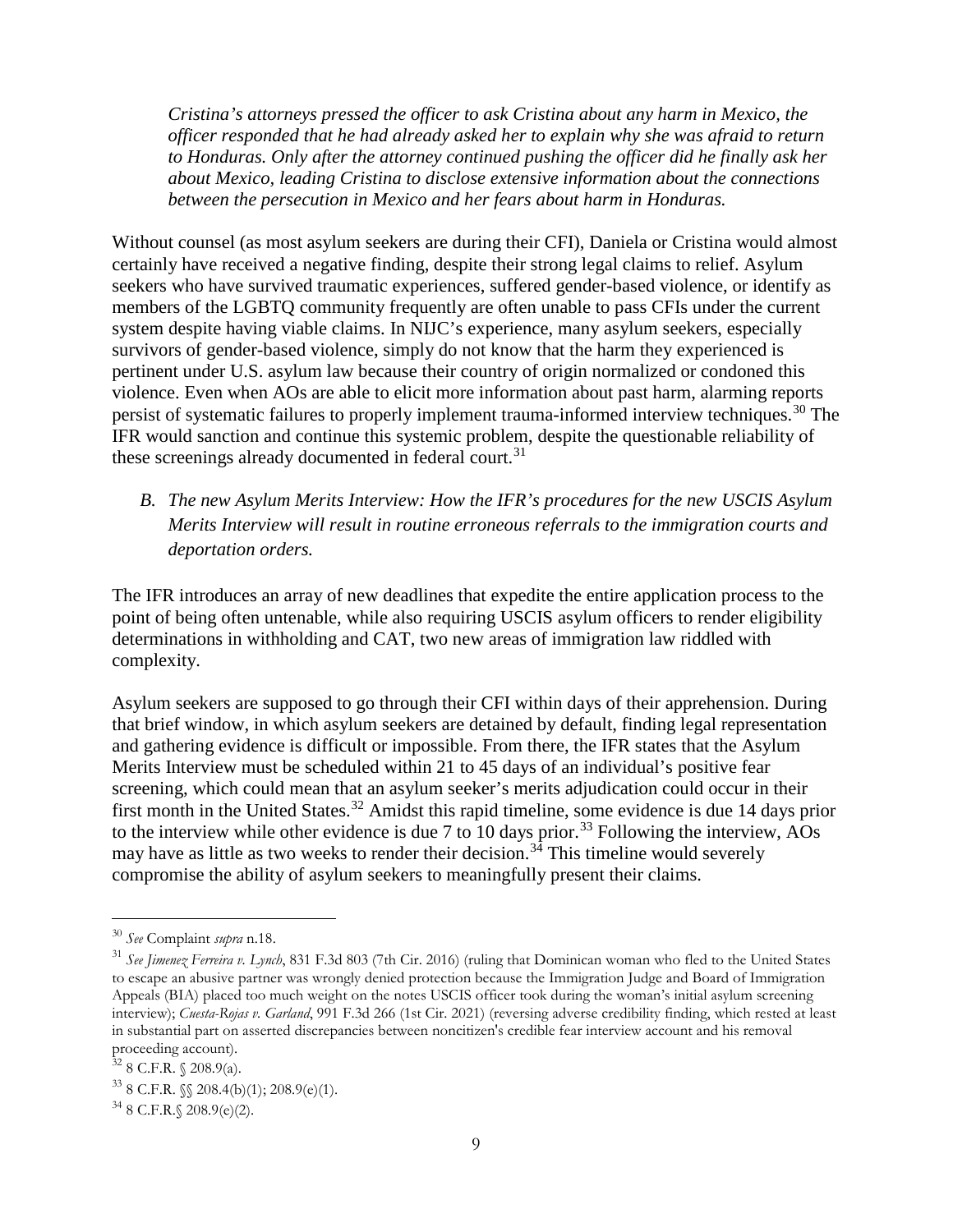*Cristina's attorneys pressed the officer to ask Cristina about any harm in Mexico, the officer responded that he had already asked her to explain why she was afraid to return to Honduras. Only after the attorney continued pushing the officer did he finally ask her about Mexico, leading Cristina to disclose extensive information about the connections between the persecution in Mexico and her fears about harm in Honduras.* 

Without counsel (as most asylum seekers are during their CFI), Daniela or Cristina would almost certainly have received a negative finding, despite their strong legal claims to relief. Asylum seekers who have survived traumatic experiences, suffered gender-based violence, or identify as members of the LGBTQ community frequently are often unable to pass CFIs under the current system despite having viable claims. In NIJC's experience, many asylum seekers, especially survivors of gender-based violence, simply do not know that the harm they experienced is pertinent under U.S. asylum law because their country of origin normalized or condoned this violence. Even when AOs are able to elicit more information about past harm, alarming reports persist of systematic failures to properly implement trauma-informed interview techniques.[30](#page-8-0) The IFR would sanction and continue this systemic problem, despite the questionable reliability of these screenings already documented in federal court.<sup>[31](#page-8-1)</sup>

# *B. The new Asylum Merits Interview: How the IFR's procedures for the new USCIS Asylum Merits Interview will result in routine erroneous referrals to the immigration courts and deportation orders.*

The IFR introduces an array of new deadlines that expedite the entire application process to the point of being often untenable, while also requiring USCIS asylum officers to render eligibility determinations in withholding and CAT, two new areas of immigration law riddled with complexity.

Asylum seekers are supposed to go through their CFI within days of their apprehension. During that brief window, in which asylum seekers are detained by default, finding legal representation and gathering evidence is difficult or impossible. From there, the IFR states that the Asylum Merits Interview must be scheduled within 21 to 45 days of an individual's positive fear screening, which could mean that an asylum seeker's merits adjudication could occur in their first month in the United States.<sup>[32](#page-8-2)</sup> Amidst this rapid timeline, some evidence is due 14 days prior to the interview while other evidence is due 7 to 10 days prior.<sup>[33](#page-8-3)</sup> Following the interview, AOs may have as little as two weeks to render their decision.<sup>[34](#page-8-4)</sup> This timeline would severely compromise the ability of asylum seekers to meaningfully present their claims.

<span id="page-8-0"></span> <sup>30</sup> *See* Complaint *supra* n.18.

<span id="page-8-1"></span><sup>31</sup> *See Jimenez Ferreira v. Lynch*, 831 F.3d 803 (7th Cir. 2016) (ruling that Dominican woman who fled to the United States to escape an abusive partner was wrongly denied protection because the Immigration Judge and Board of Immigration Appeals (BIA) placed too much weight on the notes USCIS officer took during the woman's initial asylum screening interview); *Cuesta-Rojas v. Garland*, 991 F.3d 266 (1st Cir. 2021) (reversing adverse credibility finding, which rested at least in substantial part on asserted discrepancies between noncitizen's credible fear interview account and his removal proceeding account).

<span id="page-8-2"></span> $32$  8 C.F.R.  $\{(208.9(a))$ .

<span id="page-8-3"></span> $33$  8 C.F.R.  $\sqrt{208.4(b)(1)}$ ; 208.9(e)(1).

<span id="page-8-4"></span> $34$  8 C.F.R. § 208.9(e)(2).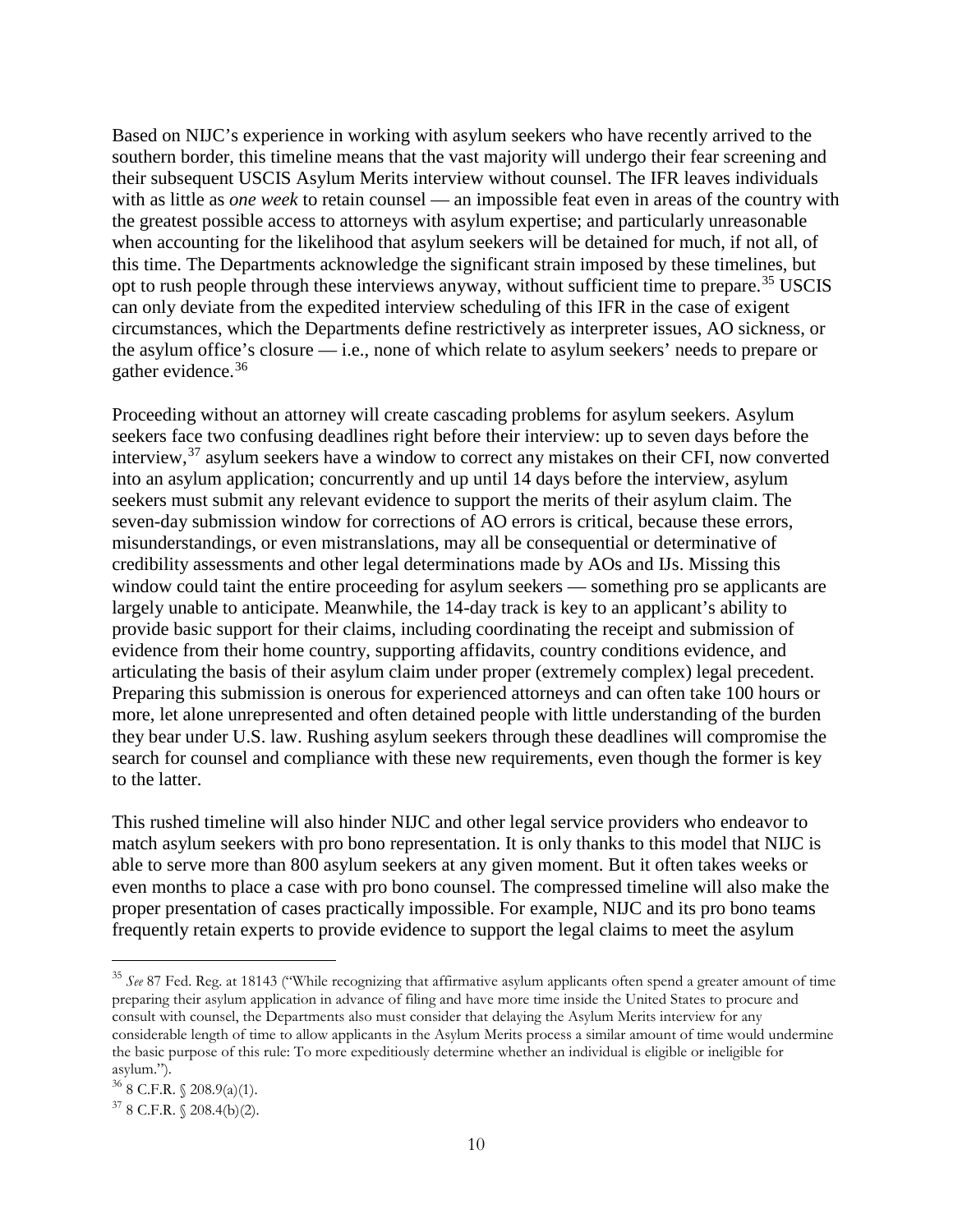Based on NIJC's experience in working with asylum seekers who have recently arrived to the southern border, this timeline means that the vast majority will undergo their fear screening and their subsequent USCIS Asylum Merits interview without counsel. The IFR leaves individuals with as little as *one week* to retain counsel — an impossible feat even in areas of the country with the greatest possible access to attorneys with asylum expertise; and particularly unreasonable when accounting for the likelihood that asylum seekers will be detained for much, if not all, of this time. The Departments acknowledge the significant strain imposed by these timelines, but opt to rush people through these interviews anyway, without sufficient time to prepare.<sup>[35](#page-9-0)</sup> USCIS can only deviate from the expedited interview scheduling of this IFR in the case of exigent circumstances, which the Departments define restrictively as interpreter issues, AO sickness, or the asylum office's closure — i.e., none of which relate to asylum seekers' needs to prepare or gather evidence.<sup>[36](#page-9-1)</sup>

Proceeding without an attorney will create cascading problems for asylum seekers. Asylum seekers face two confusing deadlines right before their interview: up to seven days before the interview,[37](#page-9-2) asylum seekers have a window to correct any mistakes on their CFI, now converted into an asylum application; concurrently and up until 14 days before the interview, asylum seekers must submit any relevant evidence to support the merits of their asylum claim. The seven-day submission window for corrections of AO errors is critical, because these errors, misunderstandings, or even mistranslations, may all be consequential or determinative of credibility assessments and other legal determinations made by AOs and IJs. Missing this window could taint the entire proceeding for asylum seekers — something pro se applicants are largely unable to anticipate. Meanwhile, the 14-day track is key to an applicant's ability to provide basic support for their claims, including coordinating the receipt and submission of evidence from their home country, supporting affidavits, country conditions evidence, and articulating the basis of their asylum claim under proper (extremely complex) legal precedent. Preparing this submission is onerous for experienced attorneys and can often take 100 hours or more, let alone unrepresented and often detained people with little understanding of the burden they bear under U.S. law. Rushing asylum seekers through these deadlines will compromise the search for counsel and compliance with these new requirements, even though the former is key to the latter.

This rushed timeline will also hinder NIJC and other legal service providers who endeavor to match asylum seekers with pro bono representation. It is only thanks to this model that NIJC is able to serve more than 800 asylum seekers at any given moment. But it often takes weeks or even months to place a case with pro bono counsel. The compressed timeline will also make the proper presentation of cases practically impossible. For example, NIJC and its pro bono teams frequently retain experts to provide evidence to support the legal claims to meet the asylum

<span id="page-9-0"></span> <sup>35</sup> *See* 87 Fed. Reg. at 18143 ("While recognizing that affirmative asylum applicants often spend a greater amount of time preparing their asylum application in advance of filing and have more time inside the United States to procure and consult with counsel, the Departments also must consider that delaying the Asylum Merits interview for any considerable length of time to allow applicants in the Asylum Merits process a similar amount of time would undermine the basic purpose of this rule: To more expeditiously determine whether an individual is eligible or ineligible for asylum.").

<span id="page-9-1"></span> $36$  8 C.F.R. § 208.9(a)(1).

<span id="page-9-2"></span> $37$  8 C.F.R.  $\{(208.4(b)(2)).$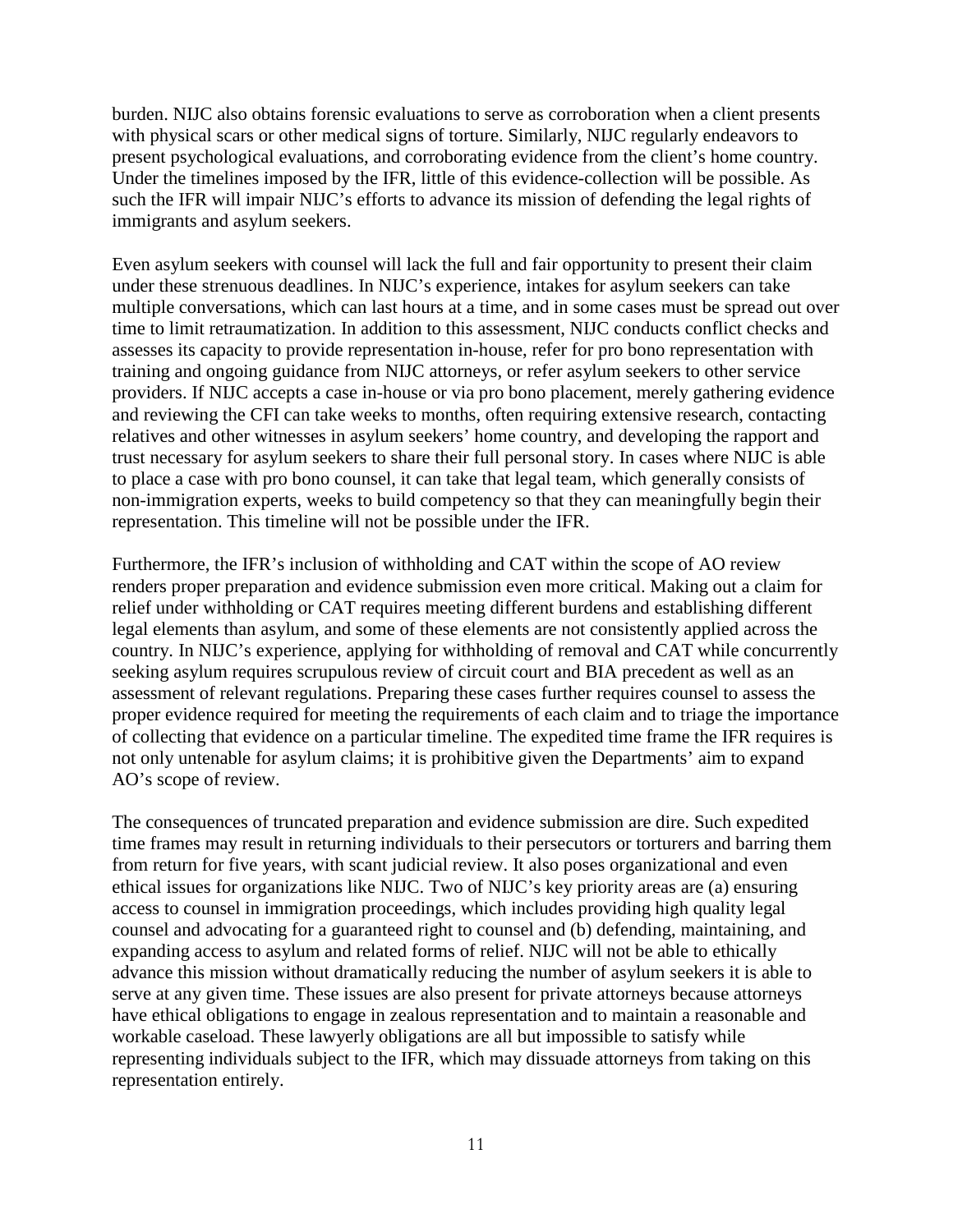burden. NIJC also obtains forensic evaluations to serve as corroboration when a client presents with physical scars or other medical signs of torture. Similarly, NIJC regularly endeavors to present psychological evaluations, and corroborating evidence from the client's home country. Under the timelines imposed by the IFR, little of this evidence-collection will be possible. As such the IFR will impair NIJC's efforts to advance its mission of defending the legal rights of immigrants and asylum seekers.

Even asylum seekers with counsel will lack the full and fair opportunity to present their claim under these strenuous deadlines. In NIJC's experience, intakes for asylum seekers can take multiple conversations, which can last hours at a time, and in some cases must be spread out over time to limit retraumatization. In addition to this assessment, NIJC conducts conflict checks and assesses its capacity to provide representation in-house, refer for pro bono representation with training and ongoing guidance from NIJC attorneys, or refer asylum seekers to other service providers. If NIJC accepts a case in-house or via pro bono placement, merely gathering evidence and reviewing the CFI can take weeks to months, often requiring extensive research, contacting relatives and other witnesses in asylum seekers' home country, and developing the rapport and trust necessary for asylum seekers to share their full personal story. In cases where NIJC is able to place a case with pro bono counsel, it can take that legal team, which generally consists of non-immigration experts, weeks to build competency so that they can meaningfully begin their representation. This timeline will not be possible under the IFR.

Furthermore, the IFR's inclusion of withholding and CAT within the scope of AO review renders proper preparation and evidence submission even more critical. Making out a claim for relief under withholding or CAT requires meeting different burdens and establishing different legal elements than asylum, and some of these elements are not consistently applied across the country. In NIJC's experience, applying for withholding of removal and CAT while concurrently seeking asylum requires scrupulous review of circuit court and BIA precedent as well as an assessment of relevant regulations. Preparing these cases further requires counsel to assess the proper evidence required for meeting the requirements of each claim and to triage the importance of collecting that evidence on a particular timeline. The expedited time frame the IFR requires is not only untenable for asylum claims; it is prohibitive given the Departments' aim to expand AO's scope of review.

The consequences of truncated preparation and evidence submission are dire. Such expedited time frames may result in returning individuals to their persecutors or torturers and barring them from return for five years, with scant judicial review. It also poses organizational and even ethical issues for organizations like NIJC. Two of NIJC's key priority areas are (a) ensuring access to counsel in immigration proceedings, which includes providing high quality legal counsel and advocating for a guaranteed right to counsel and (b) defending, maintaining, and expanding access to asylum and related forms of relief. NIJC will not be able to ethically advance this mission without dramatically reducing the number of asylum seekers it is able to serve at any given time. These issues are also present for private attorneys because attorneys have ethical obligations to engage in zealous representation and to maintain a reasonable and workable caseload. These lawyerly obligations are all but impossible to satisfy while representing individuals subject to the IFR, which may dissuade attorneys from taking on this representation entirely.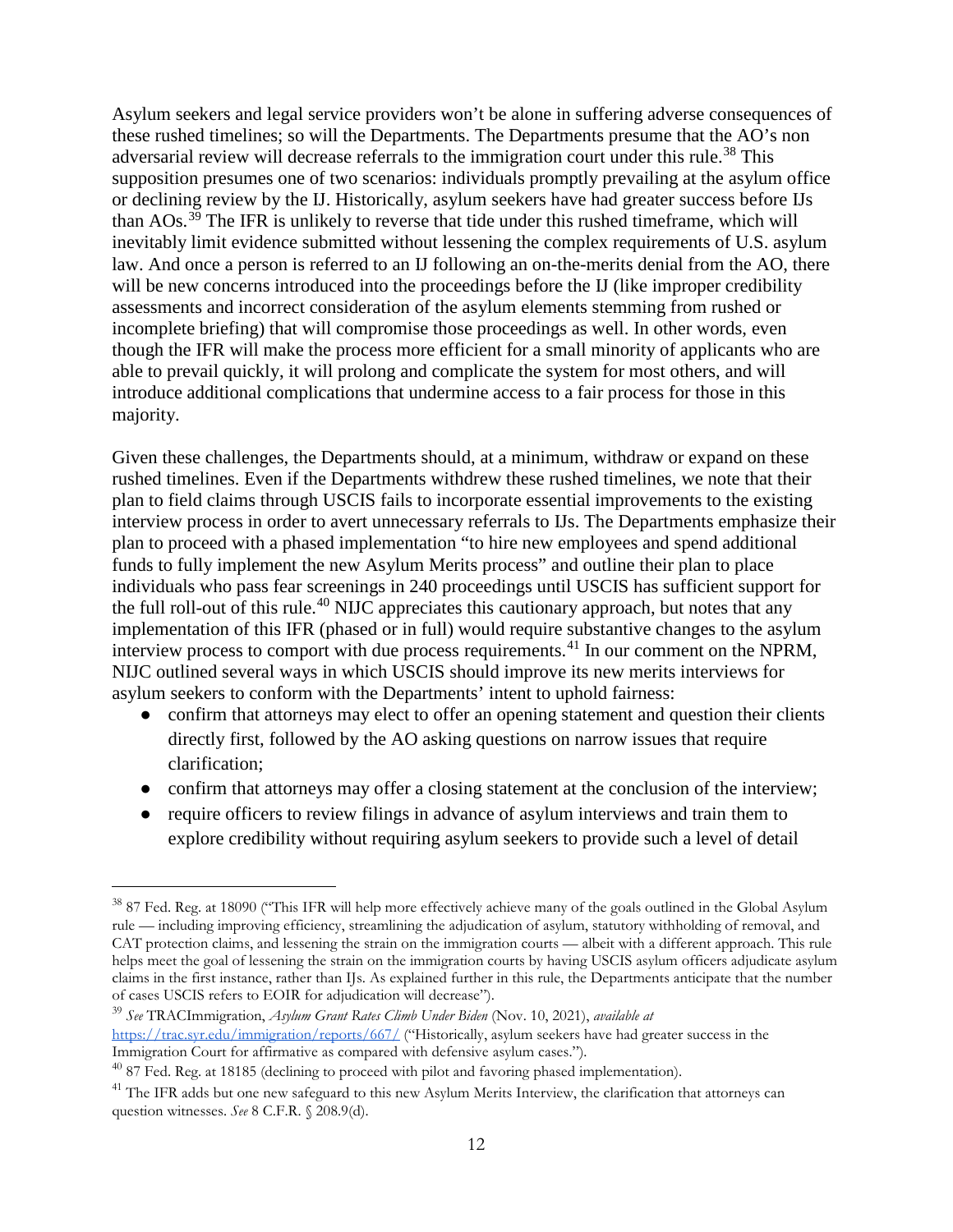Asylum seekers and legal service providers won't be alone in suffering adverse consequences of these rushed timelines; so will the Departments. The Departments presume that the AO's non adversarial review will decrease referrals to the immigration court under this rule.<sup>[38](#page-11-0)</sup> This supposition presumes one of two scenarios: individuals promptly prevailing at the asylum office or declining review by the IJ. Historically, asylum seekers have had greater success before IJs than AOs.[39](#page-11-1) The IFR is unlikely to reverse that tide under this rushed timeframe, which will inevitably limit evidence submitted without lessening the complex requirements of U.S. asylum law. And once a person is referred to an IJ following an on-the-merits denial from the AO, there will be new concerns introduced into the proceedings before the IJ (like improper credibility assessments and incorrect consideration of the asylum elements stemming from rushed or incomplete briefing) that will compromise those proceedings as well. In other words, even though the IFR will make the process more efficient for a small minority of applicants who are able to prevail quickly, it will prolong and complicate the system for most others, and will introduce additional complications that undermine access to a fair process for those in this majority.

Given these challenges, the Departments should, at a minimum, withdraw or expand on these rushed timelines. Even if the Departments withdrew these rushed timelines, we note that their plan to field claims through USCIS fails to incorporate essential improvements to the existing interview process in order to avert unnecessary referrals to IJs. The Departments emphasize their plan to proceed with a phased implementation "to hire new employees and spend additional funds to fully implement the new Asylum Merits process" and outline their plan to place individuals who pass fear screenings in 240 proceedings until USCIS has sufficient support for the full roll-out of this rule.<sup>[40](#page-11-2)</sup> NIJC appreciates this cautionary approach, but notes that any implementation of this IFR (phased or in full) would require substantive changes to the asylum interview process to comport with due process requirements.<sup>[41](#page-11-3)</sup> In our comment on the NPRM, NIJC outlined several ways in which USCIS should improve its new merits interviews for asylum seekers to conform with the Departments' intent to uphold fairness:

- confirm that attorneys may elect to offer an opening statement and question their clients directly first, followed by the AO asking questions on narrow issues that require clarification;
- confirm that attorneys may offer a closing statement at the conclusion of the interview;
- require officers to review filings in advance of asylum interviews and train them to explore credibility without requiring asylum seekers to provide such a level of detail

<span id="page-11-0"></span><sup>&</sup>lt;sup>38</sup> 87 Fed. Reg. at 18090 ("This IFR will help more effectively achieve many of the goals outlined in the Global Asylum rule — including improving efficiency, streamlining the adjudication of asylum, statutory withholding of removal, and CAT protection claims, and lessening the strain on the immigration courts — albeit with a different approach. This rule helps meet the goal of lessening the strain on the immigration courts by having USCIS asylum officers adjudicate asylum claims in the first instance, rather than IJs. As explained further in this rule, the Departments anticipate that the number of cases USCIS refers to EOIR for adjudication will decrease").

<span id="page-11-1"></span><sup>39</sup> *See* TRACImmigration, *Asylum Grant Rates Climb Under Biden* (Nov. 10, 2021), *available at*  <https://trac.syr.edu/immigration/reports/667/> ("Historically, asylum seekers have had greater success in the Immigration Court for affirmative as compared with defensive asylum cases.").

<span id="page-11-2"></span> $40$  87 Fed. Reg. at 18185 (declining to proceed with pilot and favoring phased implementation).

<span id="page-11-3"></span><sup>&</sup>lt;sup>41</sup> The IFR adds but one new safeguard to this new Asylum Merits Interview, the clarification that attorneys can question witnesses. *See* 8 C.F.R. § 208.9(d).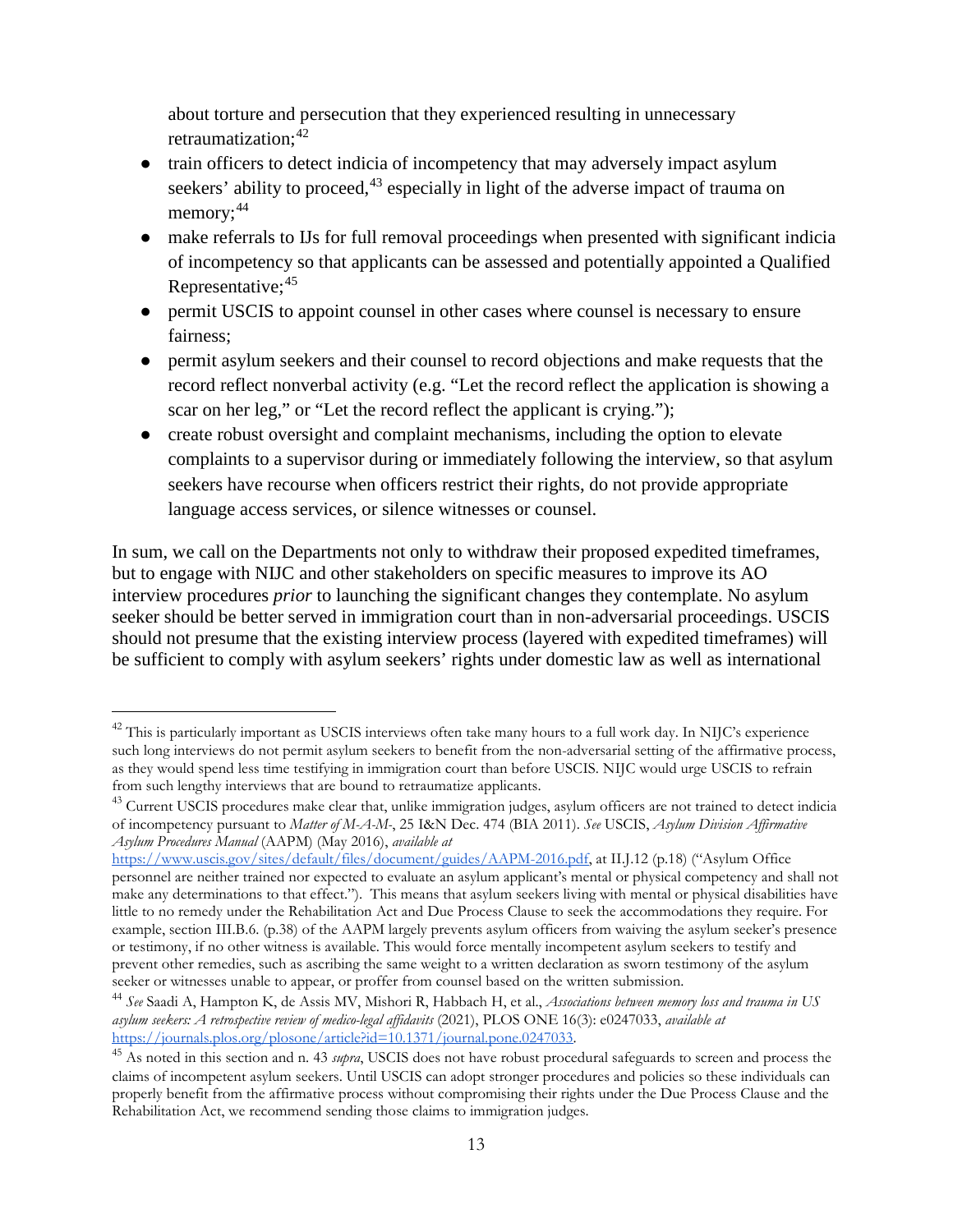about torture and persecution that they experienced resulting in unnecessary retraumatization: [42](#page-12-0)

- train officers to detect indicia of incompetency that may adversely impact asylum seekers' ability to proceed,<sup>[43](#page-12-1)</sup> especially in light of the adverse impact of trauma on memory;<sup>[44](#page-12-2)</sup>
- make referrals to IJs for full removal proceedings when presented with significant indicia of incompetency so that applicants can be assessed and potentially appointed a Qualified Representative; [45](#page-12-3)
- permit USCIS to appoint counsel in other cases where counsel is necessary to ensure fairness;
- permit asylum seekers and their counsel to record objections and make requests that the record reflect nonverbal activity (e.g. "Let the record reflect the application is showing a scar on her leg," or "Let the record reflect the applicant is crying.");
- create robust oversight and complaint mechanisms, including the option to elevate complaints to a supervisor during or immediately following the interview, so that asylum seekers have recourse when officers restrict their rights, do not provide appropriate language access services, or silence witnesses or counsel.

In sum, we call on the Departments not only to withdraw their proposed expedited timeframes, but to engage with NIJC and other stakeholders on specific measures to improve its AO interview procedures *prior* to launching the significant changes they contemplate. No asylum seeker should be better served in immigration court than in non-adversarial proceedings. USCIS should not presume that the existing interview process (layered with expedited timeframes) will be sufficient to comply with asylum seekers' rights under domestic law as well as international

<span id="page-12-0"></span><sup>&</sup>lt;sup>42</sup> This is particularly important as USCIS interviews often take many hours to a full work day. In NIJC's experience such long interviews do not permit asylum seekers to benefit from the non-adversarial setting of the affirmative process, as they would spend less time testifying in immigration court than before USCIS. NIJC would urge USCIS to refrain from such lengthy interviews that are bound to retraumatize applicants.

<span id="page-12-1"></span><sup>&</sup>lt;sup>43</sup> Current USCIS procedures make clear that, unlike immigration judges, asylum officers are not trained to detect indicia of incompetency pursuant to *Matter of M-A-M-*, 25 I&N Dec. 474 (BIA 2011). *See* USCIS, *Asylum Division Affirmative Asylum Procedures Manual* (AAPM) (May 2016), *available at*

[https://www.uscis.gov/sites/default/files/document/guides/AAPM-2016.pdf,](https://www.uscis.gov/sites/default/files/document/guides/AAPM-2016.pdf) at II.J.12 (p.18) ("Asylum Office personnel are neither trained nor expected to evaluate an asylum applicant's mental or physical competency and shall not make any determinations to that effect."). This means that asylum seekers living with mental or physical disabilities have little to no remedy under the Rehabilitation Act and Due Process Clause to seek the accommodations they require. For example, section III.B.6. (p.38) of the AAPM largely prevents asylum officers from waiving the asylum seeker's presence or testimony, if no other witness is available. This would force mentally incompetent asylum seekers to testify and prevent other remedies, such as ascribing the same weight to a written declaration as sworn testimony of the asylum seeker or witnesses unable to appear, or proffer from counsel based on the written submission.

<span id="page-12-2"></span><sup>44</sup> *See* Saadi A, Hampton K, de Assis MV, Mishori R, Habbach H, et al., *Associations between memory loss and trauma in US asylum seekers: A retrospective review of medico-legal affidavits* (2021), PLOS ONE 16(3): e0247033, *available at* 

<span id="page-12-3"></span><sup>&</sup>lt;sup>45</sup> As noted in this section and n. 43 *supra*, USCIS does not have robust procedural safeguards to screen and process the claims of incompetent asylum seekers. Until USCIS can adopt stronger procedures and policies so these individuals can properly benefit from the affirmative process without compromising their rights under the Due Process Clause and the Rehabilitation Act, we recommend sending those claims to immigration judges.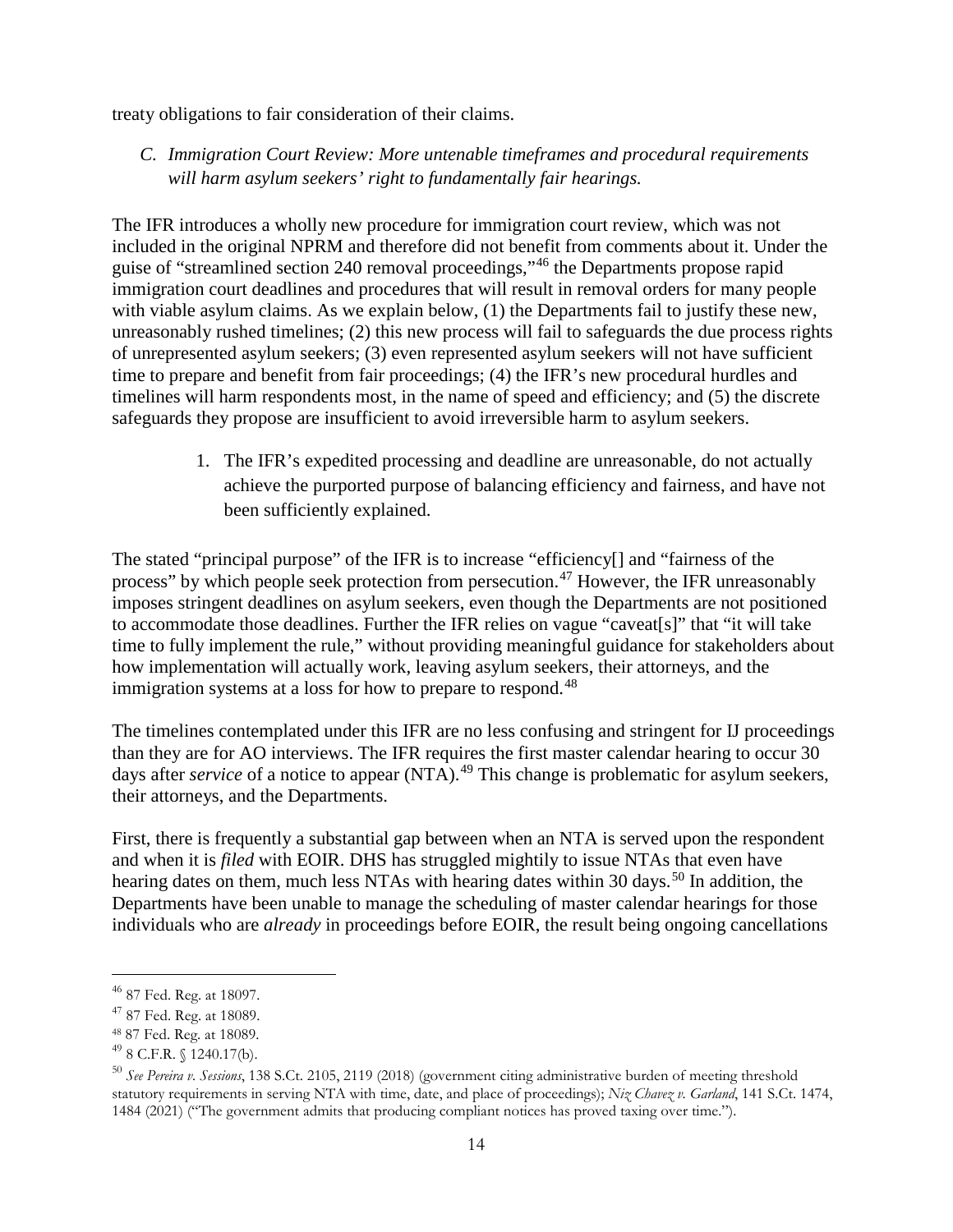treaty obligations to fair consideration of their claims.

*C. Immigration Court Review: More untenable timeframes and procedural requirements will harm asylum seekers' right to fundamentally fair hearings.*

The IFR introduces a wholly new procedure for immigration court review, which was not included in the original NPRM and therefore did not benefit from comments about it. Under the guise of "streamlined section 240 removal proceedings,"[46](#page-13-0) the Departments propose rapid immigration court deadlines and procedures that will result in removal orders for many people with viable asylum claims. As we explain below, (1) the Departments fail to justify these new, unreasonably rushed timelines; (2) this new process will fail to safeguards the due process rights of unrepresented asylum seekers; (3) even represented asylum seekers will not have sufficient time to prepare and benefit from fair proceedings; (4) the IFR's new procedural hurdles and timelines will harm respondents most, in the name of speed and efficiency; and (5) the discrete safeguards they propose are insufficient to avoid irreversible harm to asylum seekers.

> 1. The IFR's expedited processing and deadline are unreasonable, do not actually achieve the purported purpose of balancing efficiency and fairness, and have not been sufficiently explained.

The stated "principal purpose" of the IFR is to increase "efficiency[] and "fairness of the process" by which people seek protection from persecution.<sup>[47](#page-13-1)</sup> However, the IFR unreasonably imposes stringent deadlines on asylum seekers, even though the Departments are not positioned to accommodate those deadlines. Further the IFR relies on vague "caveat[s]" that "it will take time to fully implement the rule," without providing meaningful guidance for stakeholders about how implementation will actually work, leaving asylum seekers, their attorneys, and the immigration systems at a loss for how to prepare to respond.<sup>[48](#page-13-2)</sup>

The timelines contemplated under this IFR are no less confusing and stringent for IJ proceedings than they are for AO interviews. The IFR requires the first master calendar hearing to occur 30 days after *service* of a notice to appear (NTA).<sup>[49](#page-13-3)</sup> This change is problematic for asylum seekers, their attorneys, and the Departments.

First, there is frequently a substantial gap between when an NTA is served upon the respondent and when it is *filed* with EOIR. DHS has struggled mightily to issue NTAs that even have hearing dates on them, much less NTAs with hearing dates within 30 days.<sup>[50](#page-13-4)</sup> In addition, the Departments have been unable to manage the scheduling of master calendar hearings for those individuals who are *already* in proceedings before EOIR, the result being ongoing cancellations

<span id="page-13-0"></span> <sup>46</sup> 87 Fed. Reg. at 18097.

<span id="page-13-1"></span><sup>47</sup> 87 Fed. Reg. at 18089.

<span id="page-13-2"></span><sup>48</sup> 87 Fed. Reg. at 18089.

<span id="page-13-3"></span> $49$  8 C.F.R. § 1240.17(b).

<span id="page-13-4"></span><sup>50</sup> *See Pereira v. Sessions*, 138 S.Ct. 2105, 2119 (2018) (government citing administrative burden of meeting threshold statutory requirements in serving NTA with time, date, and place of proceedings); *Niz Chavez v. Garland*, 141 S.Ct. 1474, 1484 (2021) ("The government admits that producing compliant notices has proved taxing over time.").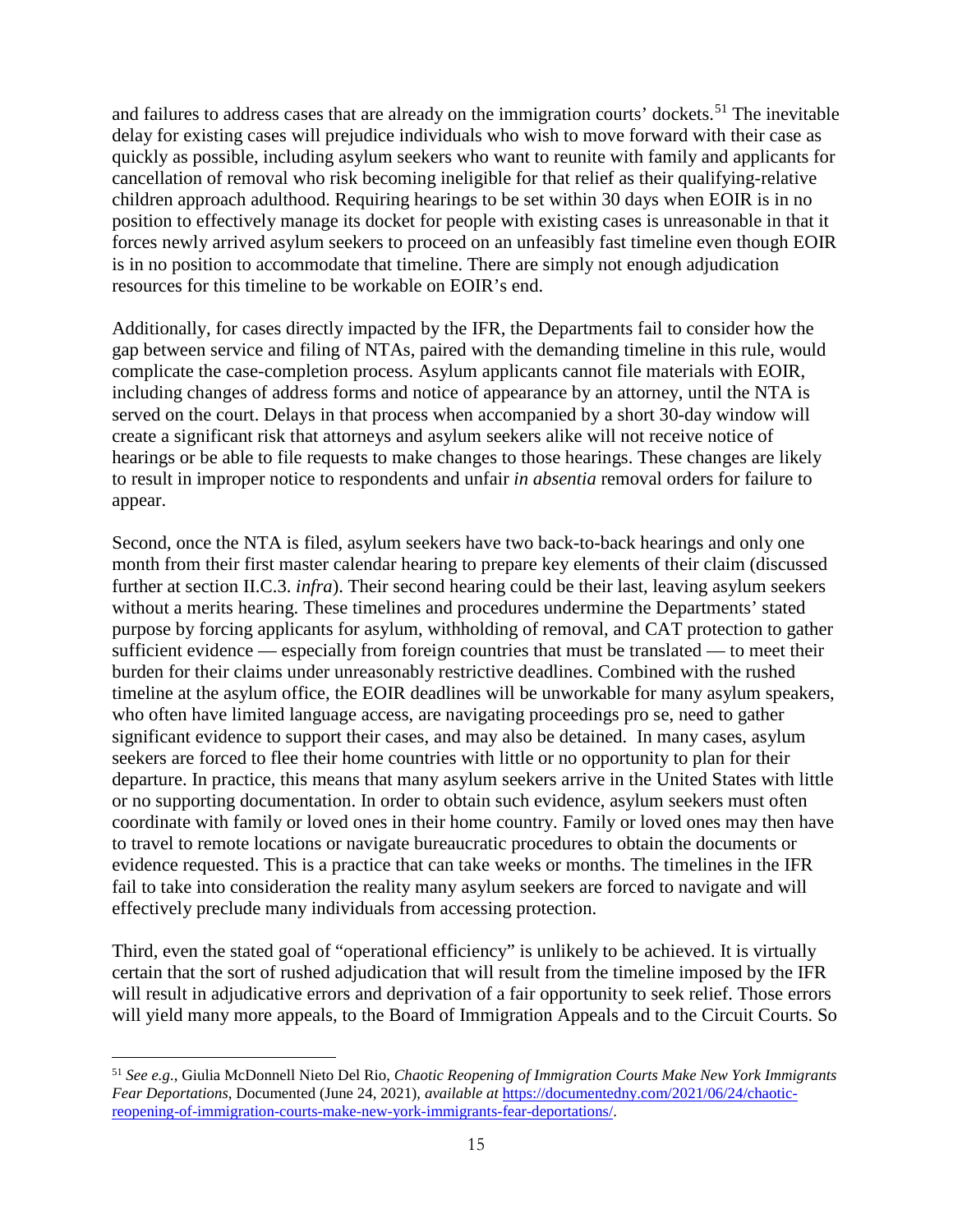and failures to address cases that are already on the immigration courts' dockets.<sup>[51](#page-14-0)</sup> The inevitable delay for existing cases will prejudice individuals who wish to move forward with their case as quickly as possible, including asylum seekers who want to reunite with family and applicants for cancellation of removal who risk becoming ineligible for that relief as their qualifying-relative children approach adulthood. Requiring hearings to be set within 30 days when EOIR is in no position to effectively manage its docket for people with existing cases is unreasonable in that it forces newly arrived asylum seekers to proceed on an unfeasibly fast timeline even though EOIR is in no position to accommodate that timeline. There are simply not enough adjudication resources for this timeline to be workable on EOIR's end.

Additionally, for cases directly impacted by the IFR, the Departments fail to consider how the gap between service and filing of NTAs, paired with the demanding timeline in this rule, would complicate the case-completion process. Asylum applicants cannot file materials with EOIR, including changes of address forms and notice of appearance by an attorney, until the NTA is served on the court. Delays in that process when accompanied by a short 30-day window will create a significant risk that attorneys and asylum seekers alike will not receive notice of hearings or be able to file requests to make changes to those hearings. These changes are likely to result in improper notice to respondents and unfair *in absentia* removal orders for failure to appear.

Second, once the NTA is filed, asylum seekers have two back-to-back hearings and only one month from their first master calendar hearing to prepare key elements of their claim (discussed further at section II.C.3. *infra*). Their second hearing could be their last, leaving asylum seekers without a merits hearing. These timelines and procedures undermine the Departments' stated purpose by forcing applicants for asylum, withholding of removal, and CAT protection to gather sufficient evidence — especially from foreign countries that must be translated — to meet their burden for their claims under unreasonably restrictive deadlines. Combined with the rushed timeline at the asylum office, the EOIR deadlines will be unworkable for many asylum speakers, who often have limited language access, are navigating proceedings pro se, need to gather significant evidence to support their cases, and may also be detained. In many cases, asylum seekers are forced to flee their home countries with little or no opportunity to plan for their departure. In practice, this means that many asylum seekers arrive in the United States with little or no supporting documentation. In order to obtain such evidence, asylum seekers must often coordinate with family or loved ones in their home country. Family or loved ones may then have to travel to remote locations or navigate bureaucratic procedures to obtain the documents or evidence requested. This is a practice that can take weeks or months. The timelines in the IFR fail to take into consideration the reality many asylum seekers are forced to navigate and will effectively preclude many individuals from accessing protection.

Third, even the stated goal of "operational efficiency" is unlikely to be achieved. It is virtually certain that the sort of rushed adjudication that will result from the timeline imposed by the IFR will result in adjudicative errors and deprivation of a fair opportunity to seek relief. Those errors will yield many more appeals, to the Board of Immigration Appeals and to the Circuit Courts. So

 $\overline{a}$ 

<span id="page-14-0"></span><sup>51</sup> *See e.g.*, Giulia McDonnell Nieto Del Rio, *Chaotic Reopening of Immigration Courts Make New York Immigrants Fear Deportations*, Documented (June 24, 2021), *available at* [https://documentedny.com/2021/06/24/chaotic](https://documentedny.com/2021/06/24/chaotic-reopening-of-immigration-courts-make-new-york-immigrants-fear-deportations/)[reopening-of-immigration-courts-make-new-york-immigrants-fear-deportations/.](https://documentedny.com/2021/06/24/chaotic-reopening-of-immigration-courts-make-new-york-immigrants-fear-deportations/)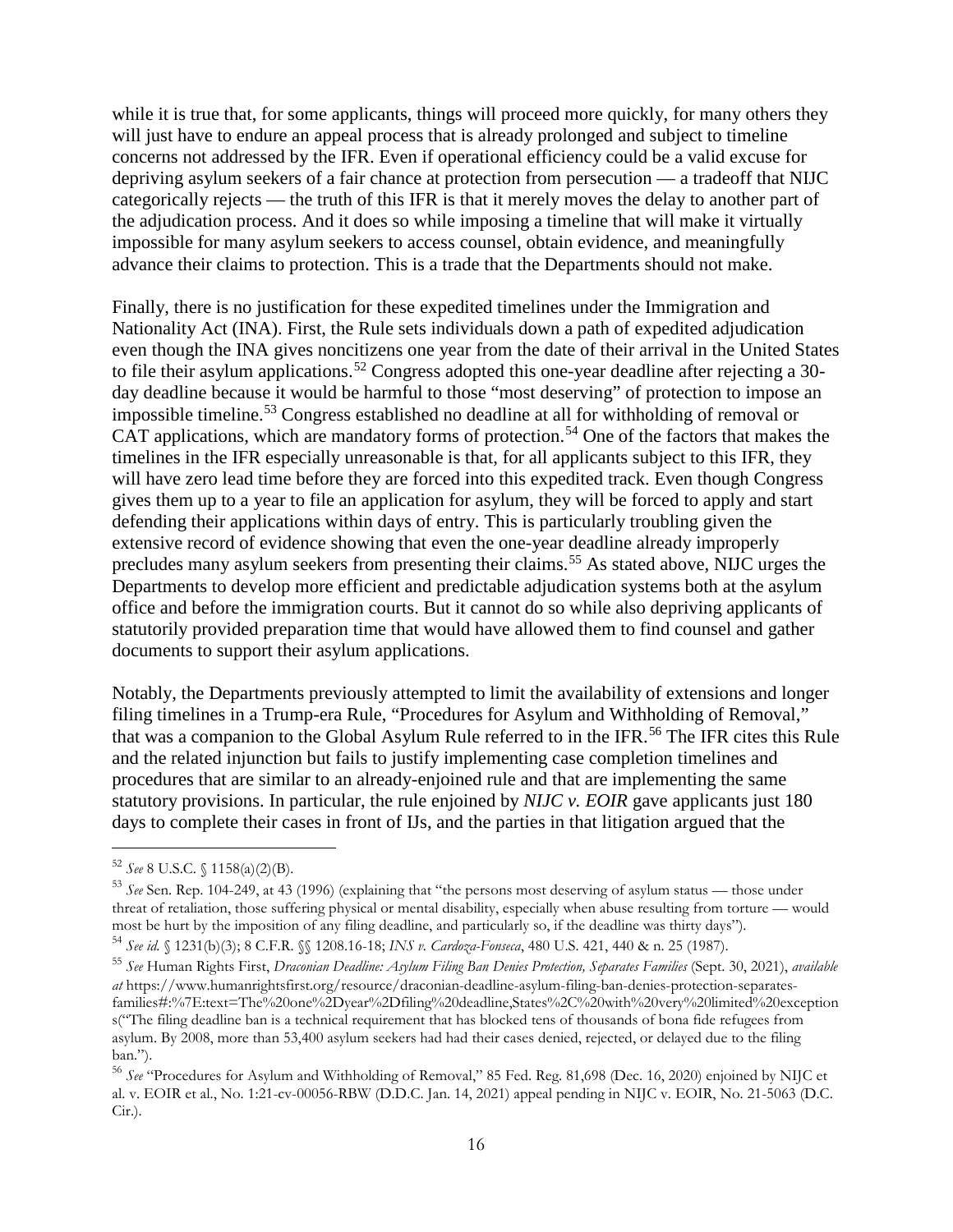while it is true that, for some applicants, things will proceed more quickly, for many others they will just have to endure an appeal process that is already prolonged and subject to timeline concerns not addressed by the IFR. Even if operational efficiency could be a valid excuse for depriving asylum seekers of a fair chance at protection from persecution — a tradeoff that NIJC categorically rejects — the truth of this IFR is that it merely moves the delay to another part of the adjudication process. And it does so while imposing a timeline that will make it virtually impossible for many asylum seekers to access counsel, obtain evidence, and meaningfully advance their claims to protection. This is a trade that the Departments should not make.

Finally, there is no justification for these expedited timelines under the Immigration and Nationality Act (INA). First, the Rule sets individuals down a path of expedited adjudication even though the INA gives noncitizens one year from the date of their arrival in the United States to file their asylum applications.<sup>[52](#page-15-0)</sup> Congress adopted this one-year deadline after rejecting a 30day deadline because it would be harmful to those "most deserving" of protection to impose an impossible timeline.[53](#page-15-1) Congress established no deadline at all for withholding of removal or CAT applications, which are mandatory forms of protection.<sup>[54](#page-15-2)</sup> One of the factors that makes the timelines in the IFR especially unreasonable is that, for all applicants subject to this IFR, they will have zero lead time before they are forced into this expedited track. Even though Congress gives them up to a year to file an application for asylum, they will be forced to apply and start defending their applications within days of entry. This is particularly troubling given the extensive record of evidence showing that even the one-year deadline already improperly precludes many asylum seekers from presenting their claims.<sup>[55](#page-15-3)</sup> As stated above, NIJC urges the Departments to develop more efficient and predictable adjudication systems both at the asylum office and before the immigration courts. But it cannot do so while also depriving applicants of statutorily provided preparation time that would have allowed them to find counsel and gather documents to support their asylum applications.

Notably, the Departments previously attempted to limit the availability of extensions and longer filing timelines in a Trump-era Rule, "Procedures for Asylum and Withholding of Removal," that was a companion to the Global Asylum Rule referred to in the IFR.[56](#page-15-4) The IFR cites this Rule and the related injunction but fails to justify implementing case completion timelines and procedures that are similar to an already-enjoined rule and that are implementing the same statutory provisions. In particular, the rule enjoined by *NIJC v. EOIR* gave applicants just 180 days to complete their cases in front of IJs, and the parties in that litigation argued that the

<span id="page-15-0"></span> <sup>52</sup> *See* 8 U.S.C. § 1158(a)(2)(B).

<span id="page-15-1"></span><sup>53</sup> *See* Sen. Rep. 104-249, at 43 (1996) (explaining that "the persons most deserving of asylum status — those under threat of retaliation, those suffering physical or mental disability, especially when abuse resulting from torture — would most be hurt by the imposition of any filing deadline, and particularly so, if the deadline was thirty days").

<span id="page-15-2"></span><sup>54</sup> *See id.* § 1231(b)(3); 8 C.F.R. §§ 1208.16-18; *INS v. Cardoza-Fonseca*, 480 U.S. 421, 440 & n. 25 (1987).

<span id="page-15-3"></span><sup>55</sup> *See* Human Rights First, *Draconian Deadline: Asylum Filing Ban Denies Protection, Separates Families* (Sept. 30, 2021), *available at* [https://www.humanrightsfirst.org/resource/draconian-deadline-asylum-filing-ban-denies-protection-separates](https://www.humanrightsfirst.org/resource/draconian-deadline-asylum-filing-ban-denies-protection-separates-families#:%7E:text=The%20one%2Dyear%2Dfiling%20deadline,States%2C%20with%20very%20limited%20exceptions)[families#:%7E:text=The%20one%2Dyear%2Dfiling%20deadline,States%2C%20with%20very%20limited%20exception](https://www.humanrightsfirst.org/resource/draconian-deadline-asylum-filing-ban-denies-protection-separates-families#:%7E:text=The%20one%2Dyear%2Dfiling%20deadline,States%2C%20with%20very%20limited%20exceptions) [s\(](https://www.humanrightsfirst.org/resource/draconian-deadline-asylum-filing-ban-denies-protection-separates-families#:%7E:text=The%20one%2Dyear%2Dfiling%20deadline,States%2C%20with%20very%20limited%20exceptions)"The filing deadline ban is a technical requirement that has blocked tens of thousands of bona fide refugees from asylum. By 2008, more than [53,400](https://www.humanrightsfirst.org/resource/asylum-filing-deadline) asylum seekers had had their cases denied, rejected, or delayed due to the filing ban.").

<span id="page-15-4"></span><sup>56</sup> *See* "Procedures for Asylum and Withholding of Removal," 85 Fed. Reg. 81,698 (Dec. 16, 2020) enjoined by NIJC et al. v. EOIR et al., No. 1:21-cv-00056-RBW (D.D.C. Jan. 14, 2021) appeal pending in NIJC v. EOIR, No. 21-5063 (D.C.  $Cir.$ ).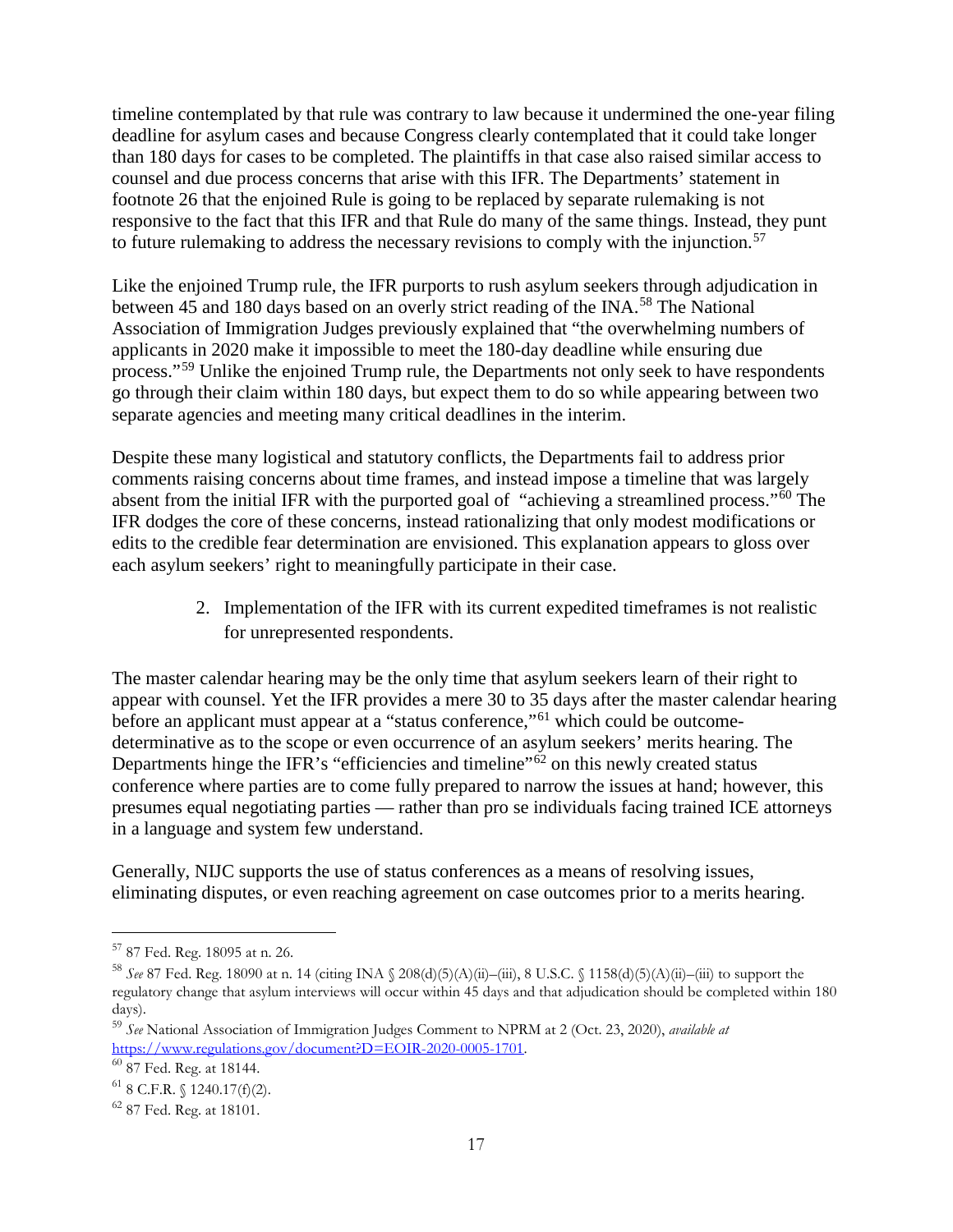timeline contemplated by that rule was contrary to law because it undermined the one-year filing deadline for asylum cases and because Congress clearly contemplated that it could take longer than 180 days for cases to be completed. The plaintiffs in that case also raised similar access to counsel and due process concerns that arise with this IFR. The Departments' statement in footnote 26 that the enjoined Rule is going to be replaced by separate rulemaking is not responsive to the fact that this IFR and that Rule do many of the same things. Instead, they punt to future rulemaking to address the necessary revisions to comply with the injunction.<sup>[57](#page-16-0)</sup>

Like the enjoined Trump rule, the IFR purports to rush asylum seekers through adjudication in between 45 and 180 days based on an overly strict reading of the INA.<sup>[58](#page-16-1)</sup> The National Association of Immigration Judges previously explained that "the overwhelming numbers of applicants in 2020 make it impossible to meet the 180-day deadline while ensuring due process."<sup>[59](#page-16-2)</sup> Unlike the enjoined Trump rule, the Departments not only seek to have respondents go through their claim within 180 days, but expect them to do so while appearing between two separate agencies and meeting many critical deadlines in the interim.

Despite these many logistical and statutory conflicts, the Departments fail to address prior comments raising concerns about time frames, and instead impose a timeline that was largely absent from the initial IFR with the purported goal of "achieving a streamlined process."[60](#page-16-3) The IFR dodges the core of these concerns, instead rationalizing that only modest modifications or edits to the credible fear determination are envisioned. This explanation appears to gloss over each asylum seekers' right to meaningfully participate in their case.

> 2. Implementation of the IFR with its current expedited timeframes is not realistic for unrepresented respondents.

The master calendar hearing may be the only time that asylum seekers learn of their right to appear with counsel. Yet the IFR provides a mere 30 to 35 days after the master calendar hearing before an applicant must appear at a "status conference,"<sup>[61](#page-16-4)</sup> which could be outcomedeterminative as to the scope or even occurrence of an asylum seekers' merits hearing. The Departments hinge the IFR's "efficiencies and timeline" $\delta^2$  on this newly created status conference where parties are to come fully prepared to narrow the issues at hand; however, this presumes equal negotiating parties — rather than pro se individuals facing trained ICE attorneys in a language and system few understand.

Generally, NIJC supports the use of status conferences as a means of resolving issues, eliminating disputes, or even reaching agreement on case outcomes prior to a merits hearing.

<span id="page-16-0"></span> <sup>57</sup> 87 Fed. Reg. 18095 at n. 26.

<span id="page-16-1"></span><sup>58</sup> *See* 87 Fed. Reg. 18090 at n. 14 (citing INA § 208(d)(5)(A)(ii)–(iii), 8 U.S.C. § 1158(d)(5)(A)(ii)–(iii) to support the regulatory change that asylum interviews will occur within 45 days and that adjudication should be completed within 180 days).

<span id="page-16-2"></span><sup>59</sup> *See* National Association of Immigration Judges Comment to NPRM at 2 (Oct. 23, 2020), *available at* [https://www.regulations.gov/document?D=EOIR-2020-0005-1701.](https://www.regulations.gov/document?D=EOIR-2020-0005-1701) 60 87 Fed. Reg. at 18144.

<span id="page-16-3"></span>

<span id="page-16-4"></span> $61$  8 C.F.R. § 1240.17(f)(2).

<span id="page-16-5"></span><sup>62</sup> 87 Fed. Reg. at 18101.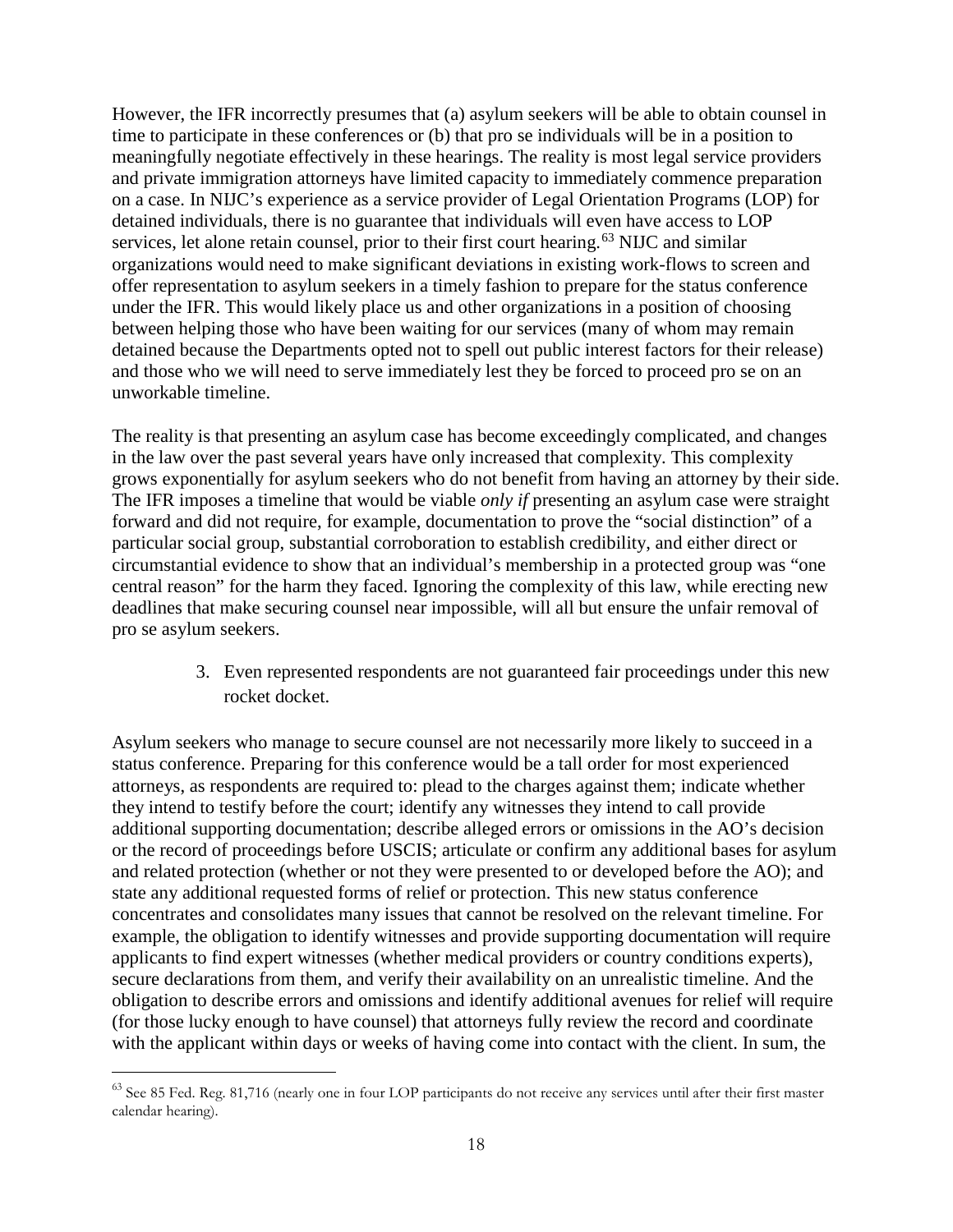However, the IFR incorrectly presumes that (a) asylum seekers will be able to obtain counsel in time to participate in these conferences or (b) that pro se individuals will be in a position to meaningfully negotiate effectively in these hearings. The reality is most legal service providers and private immigration attorneys have limited capacity to immediately commence preparation on a case. In NIJC's experience as a service provider of Legal Orientation Programs (LOP) for detained individuals, there is no guarantee that individuals will even have access to LOP services, let alone retain counsel, prior to their first court hearing.<sup>[63](#page-17-0)</sup> NIJC and similar organizations would need to make significant deviations in existing work-flows to screen and offer representation to asylum seekers in a timely fashion to prepare for the status conference under the IFR. This would likely place us and other organizations in a position of choosing between helping those who have been waiting for our services (many of whom may remain detained because the Departments opted not to spell out public interest factors for their release) and those who we will need to serve immediately lest they be forced to proceed pro se on an unworkable timeline.

The reality is that presenting an asylum case has become exceedingly complicated, and changes in the law over the past several years have only increased that complexity. This complexity grows exponentially for asylum seekers who do not benefit from having an attorney by their side. The IFR imposes a timeline that would be viable *only if* presenting an asylum case were straight forward and did not require, for example, documentation to prove the "social distinction" of a particular social group, substantial corroboration to establish credibility, and either direct or circumstantial evidence to show that an individual's membership in a protected group was "one central reason" for the harm they faced. Ignoring the complexity of this law, while erecting new deadlines that make securing counsel near impossible, will all but ensure the unfair removal of pro se asylum seekers.

> 3. Even represented respondents are not guaranteed fair proceedings under this new rocket docket.

Asylum seekers who manage to secure counsel are not necessarily more likely to succeed in a status conference. Preparing for this conference would be a tall order for most experienced attorneys, as respondents are required to: plead to the charges against them; indicate whether they intend to testify before the court; identify any witnesses they intend to call provide additional supporting documentation; describe alleged errors or omissions in the AO's decision or the record of proceedings before USCIS; articulate or confirm any additional bases for asylum and related protection (whether or not they were presented to or developed before the AO); and state any additional requested forms of relief or protection. This new status conference concentrates and consolidates many issues that cannot be resolved on the relevant timeline. For example, the obligation to identify witnesses and provide supporting documentation will require applicants to find expert witnesses (whether medical providers or country conditions experts), secure declarations from them, and verify their availability on an unrealistic timeline. And the obligation to describe errors and omissions and identify additional avenues for relief will require (for those lucky enough to have counsel) that attorneys fully review the record and coordinate with the applicant within days or weeks of having come into contact with the client. In sum, the

<span id="page-17-0"></span><sup>&</sup>lt;sup>63</sup> See 85 Fed. Reg. 81,716 (nearly one in four LOP participants do not receive any services until after their first master calendar hearing).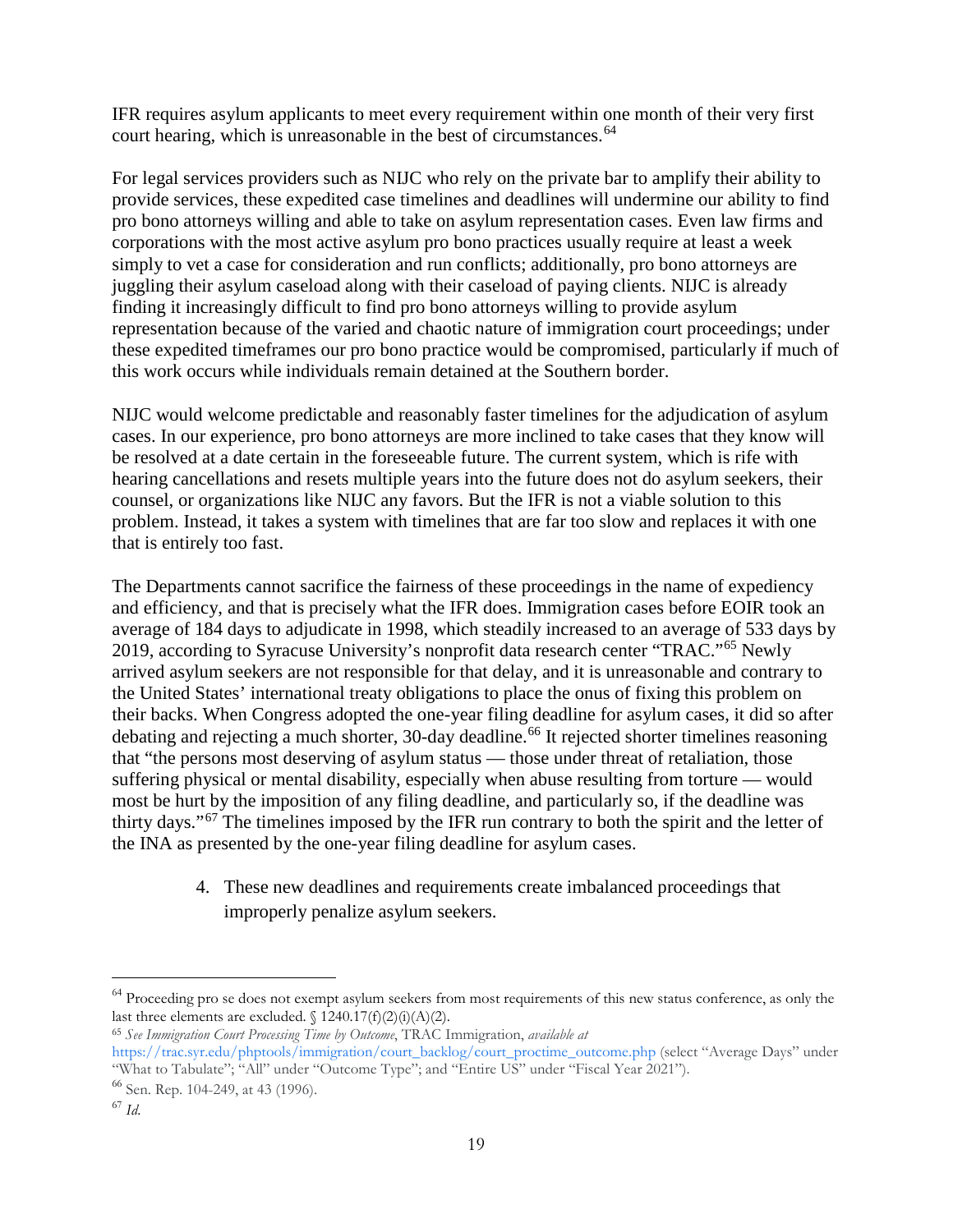IFR requires asylum applicants to meet every requirement within one month of their very first court hearing, which is unreasonable in the best of circumstances.<sup>[64](#page-18-0)</sup>

For legal services providers such as NIJC who rely on the private bar to amplify their ability to provide services, these expedited case timelines and deadlines will undermine our ability to find pro bono attorneys willing and able to take on asylum representation cases. Even law firms and corporations with the most active asylum pro bono practices usually require at least a week simply to vet a case for consideration and run conflicts; additionally, pro bono attorneys are juggling their asylum caseload along with their caseload of paying clients. NIJC is already finding it increasingly difficult to find pro bono attorneys willing to provide asylum representation because of the varied and chaotic nature of immigration court proceedings; under these expedited timeframes our pro bono practice would be compromised, particularly if much of this work occurs while individuals remain detained at the Southern border.

NIJC would welcome predictable and reasonably faster timelines for the adjudication of asylum cases. In our experience, pro bono attorneys are more inclined to take cases that they know will be resolved at a date certain in the foreseeable future. The current system, which is rife with hearing cancellations and resets multiple years into the future does not do asylum seekers, their counsel, or organizations like NIJC any favors. But the IFR is not a viable solution to this problem. Instead, it takes a system with timelines that are far too slow and replaces it with one that is entirely too fast.

The Departments cannot sacrifice the fairness of these proceedings in the name of expediency and efficiency, and that is precisely what the IFR does. Immigration cases before EOIR took an average of 184 days to adjudicate in 1998, which steadily increased to an average of 533 days by 2019, according to Syracuse University's nonprofit data research center "TRAC."[65](#page-18-1) Newly arrived asylum seekers are not responsible for that delay, and it is unreasonable and contrary to the United States' international treaty obligations to place the onus of fixing this problem on their backs. When Congress adopted the one-year filing deadline for asylum cases, it did so after debating and rejecting a much shorter, 30-day deadline.<sup>[66](#page-18-2)</sup> It rejected shorter timelines reasoning that "the persons most deserving of asylum status — those under threat of retaliation, those suffering physical or mental disability, especially when abuse resulting from torture — would most be hurt by the imposition of any filing deadline, and particularly so, if the deadline was thirty days."[67](#page-18-3) The timelines imposed by the IFR run contrary to both the spirit and the letter of the INA as presented by the one-year filing deadline for asylum cases.

> 4. These new deadlines and requirements create imbalanced proceedings that improperly penalize asylum seekers.

<span id="page-18-0"></span><sup>&</sup>lt;sup>64</sup> Proceeding pro se does not exempt asylum seekers from most requirements of this new status conference, as only the last three elements are excluded.  $\{1240.17(f)(2)(i)(A)(2)\}$ .

<span id="page-18-1"></span><sup>65</sup> *See Immigration Court Processing Time by Outcome*, TRAC Immigration, *available at* 

[https://trac.syr.edu/phptools/immigration/court\\_backlog/court\\_proctime\\_outcome.php \(](https://trac.syr.edu/phptools/immigration/court_backlog/court_proctime_outcome.php)select "Average Days" under "What to Tabulate"; "All" under "Outcome Type"; and "Entire US" under "Fiscal Year 2021").

<span id="page-18-2"></span><sup>66</sup> Sen. Rep. 104-249, at 43 (1996).

<span id="page-18-3"></span><sup>67</sup> *Id*.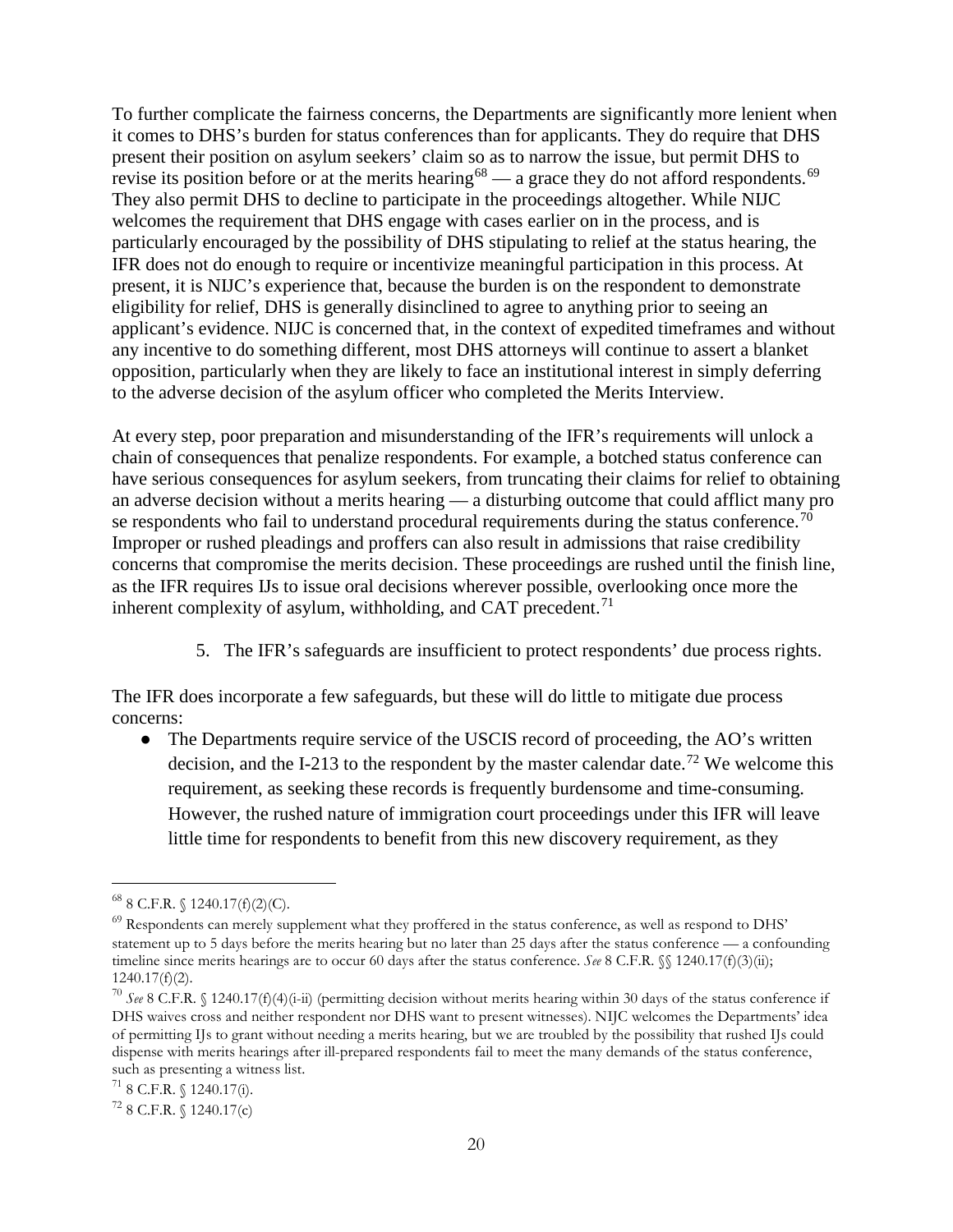To further complicate the fairness concerns, the Departments are significantly more lenient when it comes to DHS's burden for status conferences than for applicants. They do require that DHS present their position on asylum seekers' claim so as to narrow the issue, but permit DHS to revise its position before or at the merits hearing<sup>[68](#page-19-0)</sup> — a grace they do not afford respondents.<sup>[69](#page-19-1)</sup> They also permit DHS to decline to participate in the proceedings altogether. While NIJC welcomes the requirement that DHS engage with cases earlier on in the process, and is particularly encouraged by the possibility of DHS stipulating to relief at the status hearing, the IFR does not do enough to require or incentivize meaningful participation in this process. At present, it is NIJC's experience that, because the burden is on the respondent to demonstrate eligibility for relief, DHS is generally disinclined to agree to anything prior to seeing an applicant's evidence. NIJC is concerned that, in the context of expedited timeframes and without any incentive to do something different, most DHS attorneys will continue to assert a blanket opposition, particularly when they are likely to face an institutional interest in simply deferring to the adverse decision of the asylum officer who completed the Merits Interview.

At every step, poor preparation and misunderstanding of the IFR's requirements will unlock a chain of consequences that penalize respondents. For example, a botched status conference can have serious consequences for asylum seekers, from truncating their claims for relief to obtaining an adverse decision without a merits hearing — a disturbing outcome that could afflict many pro se respondents who fail to understand procedural requirements during the status conference.<sup>[70](#page-19-2)</sup> Improper or rushed pleadings and proffers can also result in admissions that raise credibility concerns that compromise the merits decision. These proceedings are rushed until the finish line, as the IFR requires IJs to issue oral decisions wherever possible, overlooking once more the inherent complexity of asylum, withholding, and CAT precedent.<sup>[71](#page-19-3)</sup>

5. The IFR's safeguards are insufficient to protect respondents' due process rights.

The IFR does incorporate a few safeguards, but these will do little to mitigate due process concerns:

• The Departments require service of the USCIS record of proceeding, the AO's written decision, and the I-213 to the respondent by the master calendar date.<sup>[72](#page-19-4)</sup> We welcome this requirement, as seeking these records is frequently burdensome and time-consuming. However, the rushed nature of immigration court proceedings under this IFR will leave little time for respondents to benefit from this new discovery requirement, as they

<span id="page-19-0"></span> $^{68}$  8 C.F.R.  $\{(1240.17(f)(2)(C)).\}$ 

<span id="page-19-1"></span> $^{69}$  Respondents can merely supplement what they proffered in the status conference, as well as respond to DHS' statement up to 5 days before the merits hearing but no later than 25 days after the status conference — a confounding timeline since merits hearings are to occur 60 days after the status conference. *See* 8 C.F.R.  $\%$  1240.17(f)(3)(ii); 1240.17(f)(2).

<span id="page-19-2"></span><sup>70</sup> *See* 8 C.F.R. § 1240.17(f)(4)(i-ii) (permitting decision without merits hearing within 30 days of the status conference if DHS waives cross and neither respondent nor DHS want to present witnesses). NIJC welcomes the Departments' idea of permitting IJs to grant without needing a merits hearing, but we are troubled by the possibility that rushed IJs could dispense with merits hearings after ill-prepared respondents fail to meet the many demands of the status conference, such as presenting a witness list.<br><sup>71</sup> 8 C.F.R. § 1240.17(i).

<span id="page-19-3"></span>

<span id="page-19-4"></span> $728$  C.F.R. § 1240.17(c)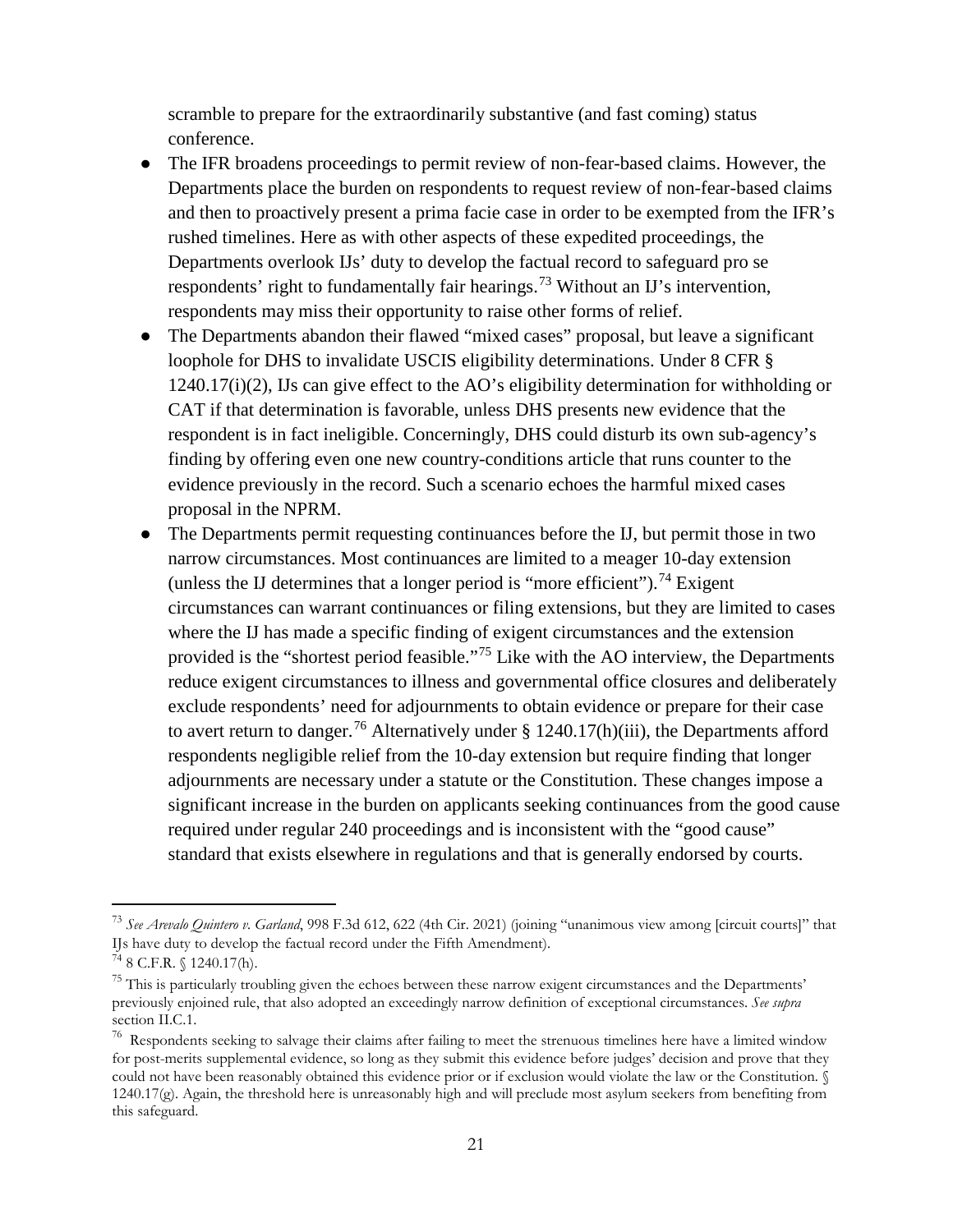scramble to prepare for the extraordinarily substantive (and fast coming) status conference.

- The IFR broadens proceedings to permit review of non-fear-based claims. However, the Departments place the burden on respondents to request review of non-fear-based claims and then to proactively present a prima facie case in order to be exempted from the IFR's rushed timelines. Here as with other aspects of these expedited proceedings, the Departments overlook IJs' duty to develop the factual record to safeguard pro se respondents' right to fundamentally fair hearings.<sup>[73](#page-20-0)</sup> Without an IJ's intervention, respondents may miss their opportunity to raise other forms of relief.
- The Departments abandon their flawed "mixed cases" proposal, but leave a significant loophole for DHS to invalidate USCIS eligibility determinations. Under 8 CFR § 1240.17(i)(2), IJs can give effect to the AO's eligibility determination for withholding or CAT if that determination is favorable, unless DHS presents new evidence that the respondent is in fact ineligible. Concerningly, DHS could disturb its own sub-agency's finding by offering even one new country-conditions article that runs counter to the evidence previously in the record. Such a scenario echoes the harmful mixed cases proposal in the NPRM.
- The Departments permit requesting continuances before the IJ, but permit those in two narrow circumstances. Most continuances are limited to a meager 10-day extension (unless the IJ determines that a longer period is "more efficient").<sup>[74](#page-20-1)</sup> Exigent circumstances can warrant continuances or filing extensions, but they are limited to cases where the IJ has made a specific finding of exigent circumstances and the extension provided is the "shortest period feasible."[75](#page-20-2) Like with the AO interview, the Departments reduce exigent circumstances to illness and governmental office closures and deliberately exclude respondents' need for adjournments to obtain evidence or prepare for their case to avert return to danger.<sup>[76](#page-20-3)</sup> Alternatively under § 1240.17(h)(iii), the Departments afford respondents negligible relief from the 10-day extension but require finding that longer adjournments are necessary under a statute or the Constitution. These changes impose a significant increase in the burden on applicants seeking continuances from the good cause required under regular 240 proceedings and is inconsistent with the "good cause" standard that exists elsewhere in regulations and that is generally endorsed by courts.

<span id="page-20-0"></span> <sup>73</sup> *See Arevalo Quintero v. Garland*, 998 F.3d 612, 622 (4th Cir. 2021) (joining "unanimous view among [circuit courts]" that IJs have duty to develop the factual record under the Fifth Amendment).

<span id="page-20-1"></span> $74$  8 C.F.R. § 1240.17(h).

<span id="page-20-2"></span> $75$  This is particularly troubling given the echoes between these narrow exigent circumstances and the Departments' previously enjoined rule, that also adopted an exceedingly narrow definition of exceptional circumstances. *See supra*  section II.C.1.

<span id="page-20-3"></span> $76$  Respondents seeking to salvage their claims after failing to meet the strenuous timelines here have a limited window for post-merits supplemental evidence, so long as they submit this evidence before judges' decision and prove that they could not have been reasonably obtained this evidence prior or if exclusion would violate the law or the Constitution. §  $1240.17(g)$ . Again, the threshold here is unreasonably high and will preclude most asylum seekers from benefiting from this safeguard.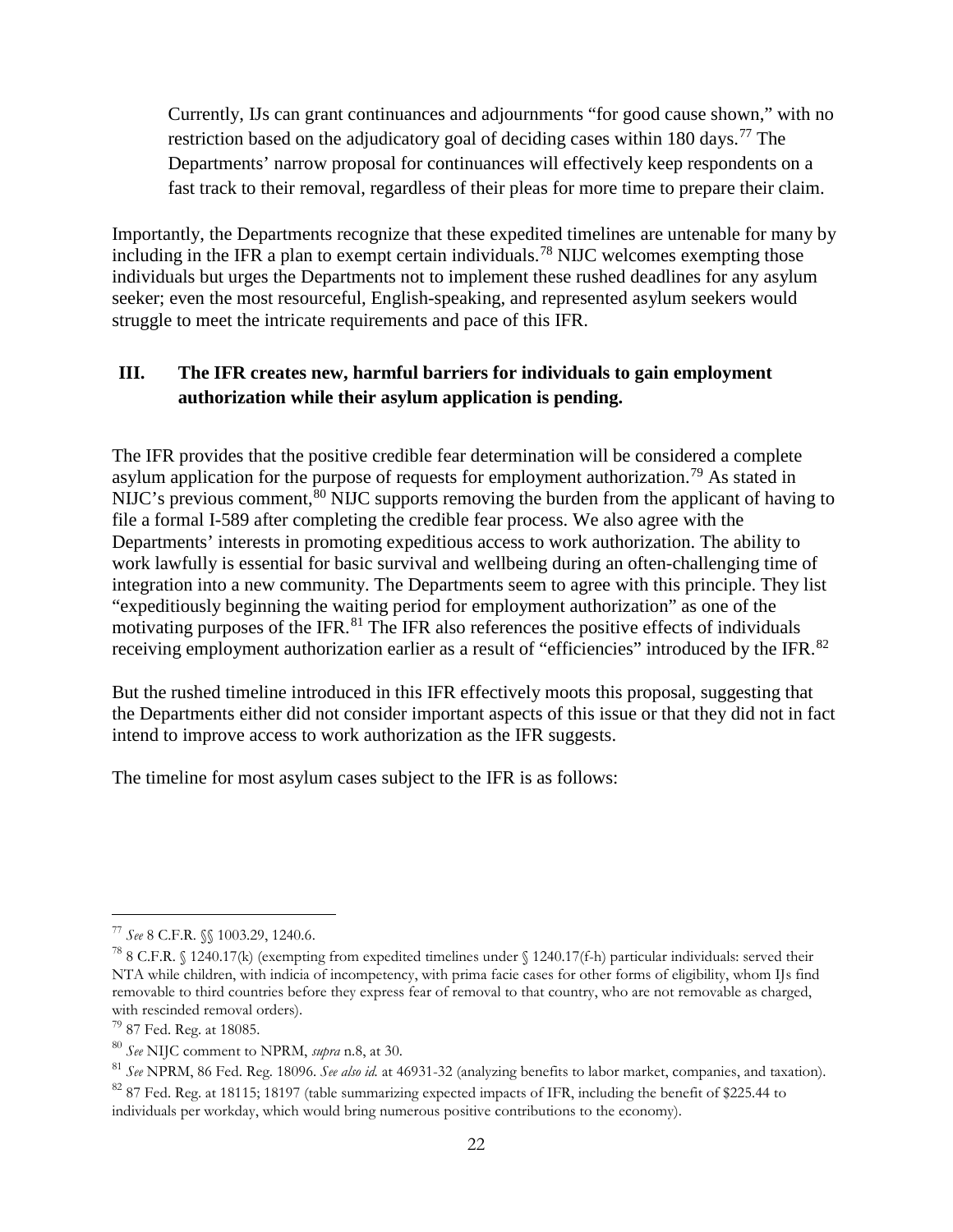Currently, IJs can grant continuances and adjournments "for good cause shown," with no restriction based on the adjudicatory goal of deciding cases within 180 days.<sup>[77](#page-21-0)</sup> The Departments' narrow proposal for continuances will effectively keep respondents on a fast track to their removal, regardless of their pleas for more time to prepare their claim.

Importantly, the Departments recognize that these expedited timelines are untenable for many by including in the IFR a plan to exempt certain individuals.[78](#page-21-1) NIJC welcomes exempting those individuals but urges the Departments not to implement these rushed deadlines for any asylum seeker; even the most resourceful, English-speaking, and represented asylum seekers would struggle to meet the intricate requirements and pace of this IFR.

# **III. The IFR creates new, harmful barriers for individuals to gain employment authorization while their asylum application is pending.**

The IFR provides that the positive credible fear determination will be considered a complete asylum application for the purpose of requests for employment authorization.<sup>[79](#page-21-2)</sup> As stated in NIJC's previous comment,  $80$  NIJC supports removing the burden from the applicant of having to file a formal I-589 after completing the credible fear process. We also agree with the Departments' interests in promoting expeditious access to work authorization. The ability to work lawfully is essential for basic survival and wellbeing during an often-challenging time of integration into a new community. The Departments seem to agree with this principle. They list "expeditiously beginning the waiting period for employment authorization" as one of the motivating purposes of the IFR.<sup>[81](#page-21-4)</sup> The IFR also references the positive effects of individuals receiving employment authorization earlier as a result of "efficiencies" introduced by the IFR.<sup>[82](#page-21-5)</sup>

But the rushed timeline introduced in this IFR effectively moots this proposal, suggesting that the Departments either did not consider important aspects of this issue or that they did not in fact intend to improve access to work authorization as the IFR suggests.

The timeline for most asylum cases subject to the IFR is as follows:

<span id="page-21-0"></span> <sup>77</sup> *See* 8 C.F.R. §§ 1003.29, 1240.6.

<span id="page-21-1"></span><sup>78</sup> 8 C.F.R. § 1240.17(k) (exempting from expedited timelines under § 1240.17(f-h) particular individuals: served their NTA while children, with indicia of incompetency, with prima facie cases for other forms of eligibility, whom IJs find removable to third countries before they express fear of removal to that country, who are not removable as charged, with rescinded removal orders).

<span id="page-21-2"></span><sup>79</sup> 87 Fed. Reg. at 18085.

<span id="page-21-3"></span><sup>80</sup> *See* NIJC comment to NPRM, *supra* n.8, at 30.

<span id="page-21-4"></span><sup>81</sup> *See* NPRM, 86 Fed. Reg. 18096. *See also id.* at 46931-32 (analyzing benefits to labor market, companies, and taxation).

<span id="page-21-5"></span><sup>&</sup>lt;sup>82</sup> 87 Fed. Reg. at 18115; 18197 (table summarizing expected impacts of IFR, including the benefit of \$225.44 to individuals per workday, which would bring numerous positive contributions to the economy).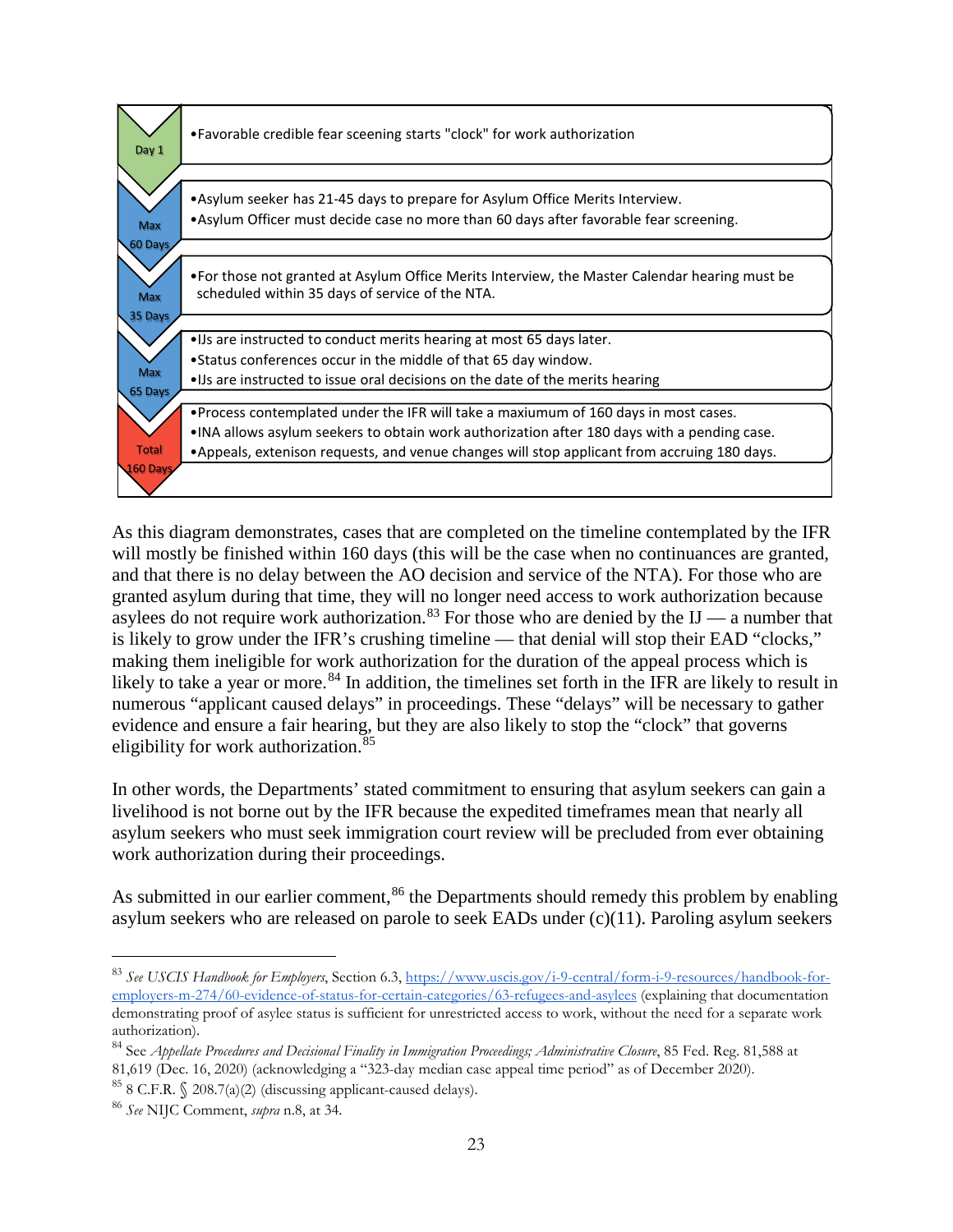

As this diagram demonstrates, cases that are completed on the timeline contemplated by the IFR will mostly be finished within 160 days (this will be the case when no continuances are granted, and that there is no delay between the AO decision and service of the NTA). For those who are granted asylum during that time, they will no longer need access to work authorization because asylees do not require work authorization.<sup>[83](#page-22-0)</sup> For those who are denied by the IJ — a number that is likely to grow under the IFR's crushing timeline — that denial will stop their EAD "clocks," making them ineligible for work authorization for the duration of the appeal process which is likely to take a year or more.<sup>[84](#page-22-1)</sup> In addition, the timelines set forth in the IFR are likely to result in numerous "applicant caused delays" in proceedings. These "delays" will be necessary to gather evidence and ensure a fair hearing, but they are also likely to stop the "clock" that governs eligibility for work authorization.<sup>[85](#page-22-2)</sup>

In other words, the Departments' stated commitment to ensuring that asylum seekers can gain a livelihood is not borne out by the IFR because the expedited timeframes mean that nearly all asylum seekers who must seek immigration court review will be precluded from ever obtaining work authorization during their proceedings.

As submitted in our earlier comment,  $86$  the Departments should remedy this problem by enabling asylum seekers who are released on parole to seek EADs under (c)(11). Paroling asylum seekers

<span id="page-22-0"></span> <sup>83</sup> *See USCIS Handbook for Employers*, Section 6.3, [https://www.uscis.gov/i-9-central/form-i-9-resources/handbook-for](https://www.uscis.gov/i-9-central/form-i-9-resources/handbook-for-employers-m-274/60-evidence-of-status-for-certain-categories/63-refugees-and-asylees)[employers-m-274/60-evidence-of-status-for-certain-categories/63-refugees-and-asylees](https://www.uscis.gov/i-9-central/form-i-9-resources/handbook-for-employers-m-274/60-evidence-of-status-for-certain-categories/63-refugees-and-asylees) (explaining that documentation demonstrating proof of asylee status is sufficient for unrestricted access to work, without the need for a separate work authorization).

<span id="page-22-1"></span><sup>84</sup> See *Appellate Procedures and Decisional Finality in Immigration Proceedings; Administrative Closure*, 85 Fed. Reg. 81,588 at 81,619 (Dec. 16, 2020) (acknowledging a "323-day median case appeal time period" as of December 2020).

<span id="page-22-2"></span> $85$  8 C.F.R.  $\Diamond$  208.7(a)(2) (discussing applicant-caused delays).

<span id="page-22-3"></span><sup>86</sup> *See* NIJC Comment, *supra* n.8, at 34.